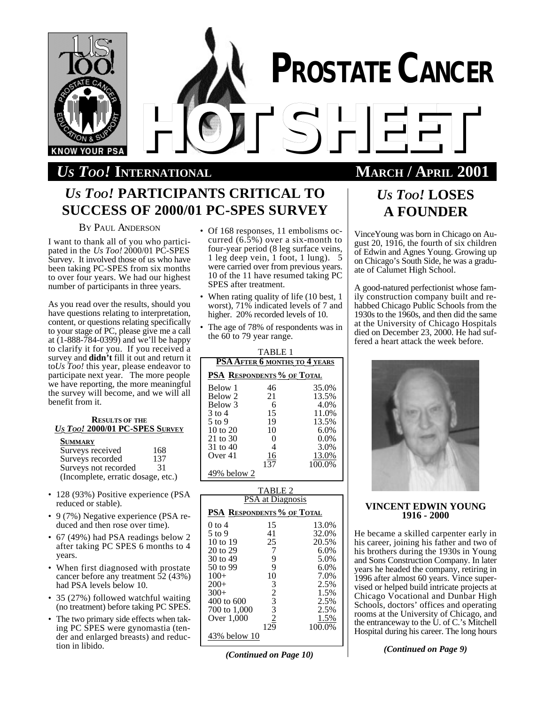

# *US TOO!* **INTERNATIONAL MARCH / APRIL 2001**

# *US TOO!* **PARTICIPANTS CRITICAL TO SUCCESS OF 2000/01 PC-SPES SURVEY**

### BY PAUL ANDERSON

I want to thank all of you who participated in the *Us Too!* 2000/01 PC-SPES Survey. It involved those of us who have been taking PC-SPES from six months to over four years. We had our highest number of participants in three years.

As you read over the results, should you have questions relating to interpretation, content, or questions relating specifically to your stage of PC, please give me a call at (1-888-784-0399) and we'll be happy to clarify it for you. If you received a survey and **didn't** fill it out and return it to*Us Too!* this year, please endeavor to participate next year. The more people we have reporting, the more meaningful the survey will become, and we will all benefit from it.

### **RESULTS OF THE** *U<sup>S</sup> TOO!* **2000/01 PC-SPES SURVEY**

#### **SUMMARY**

| Surveys received                   | 168 |
|------------------------------------|-----|
| Surveys recorded                   | 137 |
| Surveys not recorded               | 31  |
| (Incomplete, erratic dosage, etc.) |     |

- 128 (93%) Positive experience (PSA reduced or stable).
- 9 (7%) Negative experience (PSA reduced and then rose over time).
- 67 (49%) had PSA readings below 2 after taking PC SPES 6 months to 4 years.
- When first diagnosed with prostate cancer before any treatment 52 (43%) had PSA levels below 10.
- 35 (27%) followed watchful waiting (no treatment) before taking PC SPES.
- The two primary side effects when taking PC SPES were gynomastia (tender and enlarged breasts) and reduction in libido.
- Of 168 responses, 11 embolisms occurred (6.5%) over a six-month to four-year period (8 leg surface veins, 1 leg deep vein, 1 foot, 1 lung). 5 were carried over from previous years. 10 of the 11 have resumed taking PC SPES after treatment.
- When rating quality of life (10 best, 1) worst), 71% indicated levels of 7 and higher. 20% recorded levels of 10.
- The age of 78% of respondents was in the  $60$  to 79 year range.

| TABLE 1             |                                   |         |  |  |
|---------------------|-----------------------------------|---------|--|--|
|                     | PSA AFTER 6 MONTHS TO 4 YEARS     |         |  |  |
|                     | <b>PSA RESPONDENTS % OF TOTAL</b> |         |  |  |
| <b>Below 1</b>      | 46                                | 35.0%   |  |  |
| Below 2             | 21                                | 13.5%   |  |  |
| Below 3             | 6                                 | 4.0%    |  |  |
| $3$ to 4            | 15                                | 11.0%   |  |  |
| $5$ to 9            | 19                                | 13.5%   |  |  |
| $10 \text{ to } 20$ | 10                                | 6.0%    |  |  |
| 21 to 30            | 0                                 | $0.0\%$ |  |  |
| 31 to 40            | 4                                 | 3.0%    |  |  |
| Over $41$           | 16                                | 13.0%   |  |  |
|                     | 137                               | 100.0%  |  |  |
| 49% below 2         |                                   |         |  |  |

|                                   | TABLE 2                 |                |
|-----------------------------------|-------------------------|----------------|
|                                   | <b>PSA</b> at Diagnosis |                |
| <b>PSA RESPONDENTS % OF TOTAL</b> |                         |                |
| 0 to 4                            | 15                      | 13.0%          |
| $5$ to 9                          | 41                      | 32.0%          |
| 10 to 19                          | 25                      | 20.5%          |
| 20 to 29                          | 7                       | 6.0%           |
| 30 to 49                          | 9                       | 5.0%           |
| 50 to 99                          | 9                       | 6.0%           |
| $100+$                            | 10                      | 7.0%           |
| $200+$                            | 3                       | 2.5%           |
| $300+$                            | $\overline{2}$          | 1.5%           |
| 400 to 600                        | 3                       | 2.5%           |
| 700 to 1,000                      | 3                       | 2.5%           |
| Over 1,000                        | $\overline{2}$<br>129   | 1.5%<br>100.0% |
| 43% below 10                      |                         |                |

## *(Continued on Page 10)*

# *US TOO!* **LOSES A FOUNDER**

VinceYoung was born in Chicago on August 20, 1916, the fourth of six children of Edwin and Agnes Young. Growing up on Chicago's South Side, he was a graduate of Calumet High School.

A good-natured perfectionist whose family construction company built and rehabbed Chicago Public Schools from the 1930s to the 1960s, and then did the same at the University of Chicago Hospitals died on December 23, 2000. He had suffered a heart attack the week before.



### **VINCENT EDWIN YOUNG 1916 - 2000**

He became a skilled carpenter early in his career, joining his father and two of his brothers during the 1930s in Young and Sons Construction Company. In later years he headed the company, retiring in 1996 after almost 60 years. Vince supervised or helped build intricate projects at Chicago Vocational and Dunbar High Schools, doctors' offices and operating rooms at the University of Chicago, and the entranceway to the U. of C.'s Mitchell Hospital during his career. The long hours

*(Continued on Page 9)*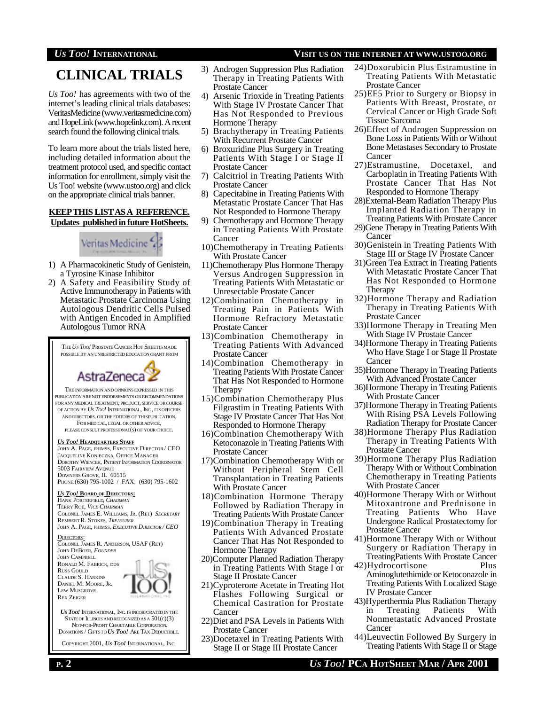# **CLINICAL TRIALS**

*Us Too!* has agreements with two of the internet's leading clinical trials databases: VeritasMedicine (www.veritasmedicine.com) and HopeLink (www.hopelink.com). A recent search found the following clinical trials.

To learn more about the trials listed here, including detailed information about the treatment protocol used, and specific contact information for enrollment, simply visit the Us Too! website (www.ustoo.org) and click on the appropriate clinical trials banner.

#### **KEEPTHIS LISTASA REFERENCE. Updates published in future HotSheets.**

# Veritas Medicine &

- 1) A Pharmacokinetic Study of Genistein, a Tyrosine Kinase Inhibitor
- 2) A Safety and Feasibility Study of Active Immunotherapy in Patients with Metastatic Prostate Carcinoma Using Autologous Dendritic Cells Pulsed with Antigen Encoded in Amplified Autologous Tumor RNA

THE*US TOO!* PROSTATE CANCER HOT SHEETIS MADE POSSIBLE BY AN UNRESTRICTED EDUCATION GRANT FROM



THE INFORMATION ANDOPINIONSEXPRESSED IN THIS PUBLICATION ARE NOT ENDORSEMENTS OR RECOMMENDATIONS FOR ANY MEDICAL TREATMENT, PRODUCT, SERVICE OR COURSE OF ACTION BY *US TOO!* INTERNATIONAL, INC., ITS OFFICERS AND DIRECTORS, OR THE EDITORS OF THISPUBLICATION. FOR MEDICAL, LEGAL OR OTHER ADVICE, PLEASE CONSULT PROFESSIONAL(S) OF YOUR CHOICE.

#### *US TOO!* **HEADQUARTERS STAFF**

JOHN A. PAGE, FHIMSS, EXECUTIVE DIRECTOR / CEO JACQUELINE KONIECZKA, OFFICE MANAGER DOROTHY WIENCEK, PATIENT INFORMATION COORDINATOR 5003 FAIRVIEW AVENUE DOWNERS GROVE, IL 60515 PHONE:(630) 795-1002 / FAX: (630) 795-1602

#### *US TOO!* **BOARD OF DIRECTORS:**

HANK PORTERFIELD, *CHAIRMAN* TERRY ROE, *VICE CHAIRMAN* COLONEL JAMES E. WILLIAMS, JR. (RET) *SECRETARY* REMBERT R. STOKES, *TREASURER* JOHN A. PAGE, FHIMSS, *EXECUTIVE DIRECTOR / CEO*

DIRECTORS: COLONEL JAMES R. ANDERSON, USAF (RET) JOHN DEBOER, *FOUNDER* JOHN CAMPBELL RONALD M. FABRICK, DDS RUSS GOULD CLAUDE S. HARKINS DANIEL M. MOORE, JR. LEW MUSGROVE REX ZEIGER



*US TOO!* INTERNATIONAL, INC. IS INCORPORATED IN THE STATE OF ILLINOIS AND RECOGNIZED AS A  $501(c)(3)$  NOT-FOR-PROFIT CHARITABLE CORPORATION. DONATIONS / GIFTSTO *US TOO!* ARE TAX DEDUCTIBLE.

COPYRIGHT 2001, *US TOO!* INTERNATIONAL, INC.

- 3) Androgen Suppression Plus Radiation Therapy in Treating Patients With Prostate Cancer
- 4) Arsenic Trioxide in Treating Patients With Stage IV Prostate Cancer That Has Not Responded to Previous Hormone Therapy
- 5) Brachytherapy in Treating Patients With Recurrent Prostate Cancer
- 6) Broxuridine Plus Surgery in Treating Patients With Stage I or Stage II Prostate Cancer
- 7) Calcitriol in Treating Patients With Prostate Cancer
- 8) Capecitabine in Treating Patients With Metastatic Prostate Cancer That Has Not Responded to Hormone Therapy
- 9) Chemotherapy and Hormone Therapy in Treating Patients With Prostate Cancer
- 10)Chemotherapy in Treating Patients With Prostate Cancer
- 11)Chemotherapy Plus Hormone Therapy Versus Androgen Suppression in Treating Patients With Metastatic or Unresectable Prostate Cancer
- 12)Combination Chemotherapy in Treating Pain in Patients With Hormone Refractory Metastatic Prostate Cancer
- 13)Combination Chemotherapy in Treating Patients With Advanced Prostate Cancer
- 14)Combination Chemotherapy in Treating Patients With Prostate Cancer That Has Not Responded to Hormone Therapy
- 15)Combination Chemotherapy Plus Filgrastim in Treating Patients With Stage IV Prostate Cancer That Has Not Responded to Hormone Therapy
- 16)Combination Chemotherapy With Ketoconazole in Treating Patients With Prostate Cancer
- 17)Combination Chemotherapy With or Without Peripheral Stem Cell Transplantation in Treating Patients With Prostate Cancer
- 18)Combination Hormone Therapy Followed by Radiation Therapy in Treating Patients With Prostate Cancer
- 19)Combination Therapy in Treating Patients With Advanced Prostate Cancer That Has Not Responded to Hormone Therapy
- 20)Computer Planned Radiation Therapy in Treating Patients With Stage I or Stage II Prostate Cancer
- 21)Cyproterone Acetate in Treating Hot Flashes Following Surgical or Chemical Castration for Prostate Cancer
- 22)Diet and PSA Levels in Patients With Prostate Cancer
- 23)Docetaxel in Treating Patients With Stage II or Stage III Prostate Cancer
- 24)Doxorubicin Plus Estramustine in Treating Patients With Metastatic Prostate Cancer
- 25)EF5 Prior to Surgery or Biopsy in Patients With Breast, Prostate, or Cervical Cancer or High Grade Soft Tissue Sarcoma
- 26)Effect of Androgen Suppression on Bone Loss in Patients With or Without Bone Metastases Secondary to Prostate Cancer
- 27)Estramustine, Docetaxel, and Carboplatin in Treating Patients With Prostate Cancer That Has Not Responded to Hormone Therapy
- 28)External-Beam Radiation Therapy Plus Implanted Radiation Therapy in Treating Patients With Prostate Cancer
- 29)Gene Therapy in Treating Patients With Cancer
- 30)Genistein in Treating Patients With Stage III or Stage IV Prostate Cancer
- 31)Green Tea Extract in Treating Patients With Metastatic Prostate Cancer That Has Not Responded to Hormone Therapy
- 32)Hormone Therapy and Radiation Therapy in Treating Patients With Prostate Cancer
- 33)Hormone Therapy in Treating Men With Stage IV Prostate Cancer
- 34)Hormone Therapy in Treating Patients Who Have Stage I or Stage II Prostate Cancer
- 35)Hormone Therapy in Treating Patients With Advanced Prostate Cancer
- 36)Hormone Therapy in Treating Patients With Prostate Cancer
- 37)Hormone Therapy in Treating Patients With Rising PSA Levels Following Radiation Therapy for Prostate Cancer
- 38)Hormone Therapy Plus Radiation Therapy in Treating Patients With Prostate Cancer
- 39)Hormone Therapy Plus Radiation Therapy With or Without Combination Chemotherapy in Treating Patients With Prostate Cancer
- 40)Hormone Therapy With or Without Mitoxantrone and Prednisone in Treating Patients Who Have Undergone Radical Prostatectomy for Prostate Cancer
- 41)Hormone Therapy With or Without Surgery or Radiation Therapy in TreatingPatients With Prostate Cancer
- 42)Hydrocortisone Plus Aminoglutethimide or Ketoconazole in Treating Patients With Localized Stage IV Prostate Cancer
- 43)Hyperthermia Plus Radiation Therapy in Treating Patients With Nonmetastatic Advanced Prostate Cancer
- 44)Leuvectin Followed By Surgery in Treating Patients With Stage II or Stage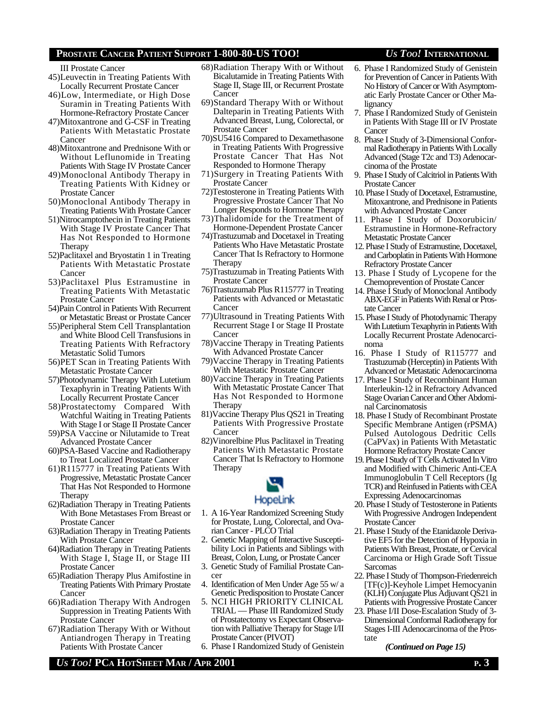#### III Prostate Cancer

- 45)Leuvectin in Treating Patients With Locally Recurrent Prostate Cancer
- 46)Low, Intermediate, or High Dose Suramin in Treating Patients With Hormone-Refractory Prostate Cancer
- 47)Mitoxantrone and G-CSF in Treating Patients With Metastatic Prostate Cancer
- 48)Mitoxantrone and Prednisone With or Without Leflunomide in Treating Patients With Stage IV Prostate Cancer
- 49)Monoclonal Antibody Therapy in Treating Patients With Kidney or Prostate Cancer
- 50)Monoclonal Antibody Therapy in Treating Patients With Prostate Cancer
- 51)Nitrocamptothecin in Treating Patients With Stage IV Prostate Cancer That Has Not Responded to Hormone Therapy
- 52)Paclitaxel and Bryostatin 1 in Treating Patients With Metastatic Prostate Cancer
- 53)Paclitaxel Plus Estramustine in Treating Patients With Metastatic Prostate Cancer
- 54)Pain Control in Patients With Recurrent or Metastatic Breast or Prostate Cancer
- 55)Peripheral Stem Cell Transplantation and White Blood Cell Transfusions in Treating Patients With Refractory Metastatic Solid Tumors
- 56)PET Scan in Treating Patients With Metastatic Prostate Cancer
- 57)Photodynamic Therapy With Lutetium Texaphyrin in Treating Patients With Locally Recurrent Prostate Cancer
- 58)Prostatectomy Compared With Watchful Waiting in Treating Patients With Stage I or Stage II Prostate Cancer
- 59)PSA Vaccine or Nilutamide to Treat Advanced Prostate Cancer
- 60)PSA-Based Vaccine and Radiotherapy to Treat Localized Prostate Cancer
- 61)R115777 in Treating Patients With Progressive, Metastatic Prostate Cancer That Has Not Responded to Hormone Therapy
- 62)Radiation Therapy in Treating Patients With Bone Metastases From Breast or Prostate Cancer
- 63)Radiation Therapy in Treating Patients With Prostate Cancer
- 64)Radiation Therapy in Treating Patients With Stage I, Stage II, or Stage III Prostate Cancer
- 65)Radiation Therapy Plus Amifostine in Treating Patients With Primary Prostate Cancer
- 66)Radiation Therapy With Androgen Suppression in Treating Patients With Prostate Cancer
- 67)Radiation Therapy With or Without Antiandrogen Therapy in Treating Patients With Prostate Cancer
- 68)Radiation Therapy With or Without Bicalutamide in Treating Patients With Stage II, Stage III, or Recurrent Prostate Cancer
- 69)Standard Therapy With or Without Dalteparin in Treating Patients With Advanced Breast, Lung, Colorectal, or Prostate Cancer
- 70)SU5416 Compared to Dexamethasone in Treating Patients With Progressive Prostate Cancer That Has Not Responded to Hormone Therapy
- 71)Surgery in Treating Patients With Prostate Cancer
- 72)Testosterone in Treating Patients With Progressive Prostate Cancer That No Longer Responds to Hormone Therapy
- 73)Thalidomide for the Treatment of Hormone-Dependent Prostate Cancer
- 74)Trastuzumab and Docetaxel in Treating Patients Who Have Metastatic Prostate Cancer That Is Refractory to Hormone Therapy
- 75)Trastuzumab in Treating Patients With Prostate Cancer
- 76)Trastuzumab Plus R115777 in Treating Patients with Advanced or Metastatic Cancer
- 77)Ultrasound in Treating Patients With Recurrent Stage I or Stage II Prostate Cancer
- 78)Vaccine Therapy in Treating Patients With Advanced Prostate Cancer
- 79)Vaccine Therapy in Treating Patients With Metastatic Prostate Cancer
- 80)Vaccine Therapy in Treating Patients With Metastatic Prostate Cancer That Has Not Responded to Hormone Therapy
- 81)Vaccine Therapy Plus QS21 in Treating Patients With Progressive Prostate Cancer
- 82)Vinorelbine Plus Paclitaxel in Treating Patients With Metastatic Prostate Cancer That Is Refractory to Hormone Therapy



- 1. A 16-Year Randomized Screening Study for Prostate, Lung, Colorectal, and Ovarian Cancer - PLCO Trial
- 2. Genetic Mapping of Interactive Susceptibility Loci in Patients and Siblings with Breast, Colon, Lung, or Prostate Cancer
- 3. Genetic Study of Familial Prostate Cancer
- 4. Identification of Men Under Age 55 w/ a Genetic Predisposition to Prostate Cancer
- 5. NCI HIGH PRIORITY CLINICAL TRIAL — Phase III Randomized Study of Prostatectomy vs Expectant Observation with Palliative Therapy for Stage I/II Prostate Cancer (PIVOT)
- 6. Phase I Randomized Study of Genistein
- 6. Phase I Randomized Study of Genistein for Prevention of Cancer in Patients With No History of Cancer or With Asymptomatic Early Prostate Cancer or Other Ma-
- lignancy 7. Phase I Randomized Study of Genistein in Patients With Stage III or IV Prostate Cancer
- 8. Phase I Study of 3-Dimensional Conformal Radiotherapy in Patients With Locally Advanced (Stage T2c and T3) Adenocarcinoma of the Prostate
- 9. Phase I Study of Calcitriol in Patients With Prostate Cancer
- 10. Phase I Study of Docetaxel, Estramustine, Mitoxantrone, and Prednisone in Patients with Advanced Prostate Cancer
- 11. Phase I Study of Doxorubicin/ Estramustine in Hormone-Refractory Metastatic Prostate Cancer
- 12. Phase I Study of Estramustine, Docetaxel, and Carboplatin in Patients With Hormone Refractory Prostate Cancer
- 13. Phase I Study of Lycopene for the Chemoprevention of Prostate Cancer
- 14. Phase I Study of Monoclonal Antibody ABX-EGF in Patients With Renal or Prostate Cancer
- 15. Phase I Study of Photodynamic Therapy With Lutetium Texaphyrin in Patients With Locally Recurrent Prostate Adenocarcinoma
- 16. Phase I Study of R115777 and Trastuzumab (Herceptin) in Patients With Advanced or Metastatic Adenocarcinoma
- 17. Phase I Study of Recombinant Human Interleukin-12 in Refractory Advanced Stage Ovarian Cancer and Other Abdominal Carcinomatosis
- 18. Phase I Study of Recombinant Prostate Specific Membrane Antigen (rPSMA) Pulsed Autologous Dedritic Cells (CaPVax) in Patients With Metastatic Hormone Refractory Prostate Cancer
- 19. Phase I Study of T Cells Activated In Vitro and Modified with Chimeric Anti-CEA Immunoglobulin T Cell Receptors (Ig TCR) and Reinfused in Patients with CEA Expressing Adenocarcinomas
- 20. Phase I Study of Testosterone in Patients With Progressive Androgen Independent Prostate Cancer
- 21. Phase I Study of the Etanidazole Derivative EF5 for the Detection of Hypoxia in Patients With Breast, Prostate, or Cervical Carcinoma or High Grade Soft Tissue Sarcomas
- 22. Phase I Study of Thompson-Friedenreich [TF(c)]-Keyhole Limpet Hemocyanin (KLH) Conjugate Plus Adjuvant QS21 in Patients with Progressive Prostate Cancer
- 23. Phase I/II Dose-Escalation Study of 3- Dimensional Conformal Radiotherapy for Stages I-III Adenocarcinoma of the Prostate

*(Continued on Page 15)*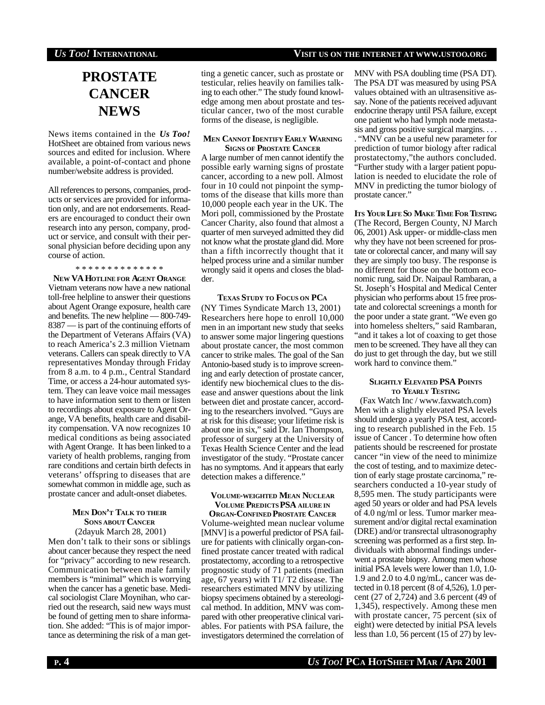# **PROSTATE CANCER NEWS**

News items contained in the *Us Too!* HotSheet are obtained from various news sources and edited for inclusion. Where available, a point-of-contact and phone number/website address is provided.

All references to persons, companies, products or services are provided for information only, and are not endorsements. Readers are encouraged to conduct their own research into any person, company, product or service, and consult with their personal physician before deciding upon any course of action.

#### \* \* \* \* \* \* \* \* \* \* \* \* \* \*

**NEW VA HOTLINE FOR AGENT ORANGE** Vietnam veterans now have a new national toll-free helpline to answer their questions about Agent Orange exposure, health care and benefits. The new helpline — 800-749- 8387 — is part of the continuing efforts of the Department of Veterans Affairs (VA) to reach America's 2.3 million Vietnam veterans. Callers can speak directly to VA representatives Monday through Friday from 8 a.m. to 4 p.m., Central Standard Time, or access a 24-hour automated system. They can leave voice mail messages to have information sent to them or listen to recordings about exposure to Agent Orange, VA benefits, health care and disability compensation. VA now recognizes 10 medical conditions as being associated with Agent Orange. It has been linked to a variety of health problems, ranging from rare conditions and certain birth defects in veterans' offspring to diseases that are somewhat common in middle age, such as prostate cancer and adult-onset diabetes.

### **MEN DON'T TALK TO THEIR SONS ABOUT CANCER** (2dayuk March 28, 2001)

Men don't talk to their sons or siblings about cancer because they respect the need for "privacy" according to new research. Communication between male family members is "minimal" which is worrying when the cancer has a genetic base. Medical sociologist Clare Moynihan, who carried out the research, said new ways must be found of getting men to share information. She added: "This is of major importance as determining the risk of a man get-

ting a genetic cancer, such as prostate or testicular, relies heavily on families talking to each other." The study found knowledge among men about prostate and testicular cancer, two of the most curable forms of the disease, is negligible.

#### **MEN CANNOT IDENTIFY EARLY WARNING SIGNS OF PROSTATE CANCER**

A large number of men cannot identify the possible early warning signs of prostate cancer, according to a new poll. Almost four in 10 could not pinpoint the symptoms of the disease that kills more than 10,000 people each year in the UK. The Mori poll, commissioned by the Prostate Cancer Charity, also found that almost a quarter of men surveyed admitted they did not know what the prostate gland did. More than a fifth incorrectly thought that it helped process urine and a similar number wrongly said it opens and closes the bladder.

#### **TEXAS STUDY TO FOCUS ON PC<sup>A</sup>**

(NY Times Syndicate March 13, 2001) Researchers here hope to enroll 10,000 men in an important new study that seeks to answer some major lingering questions about prostate cancer, the most common cancer to strike males. The goal of the San Antonio-based study is to improve screening and early detection of prostate cancer, identify new biochemical clues to the disease and answer questions about the link between diet and prostate cancer, according to the researchers involved. "Guys are at risk for this disease; your lifetime risk is about one in six," said Dr. Ian Thompson, professor of surgery at the University of Texas Health Science Center and the lead investigator of the study. "Prostate cancer has no symptoms. And it appears that early detection makes a difference."

#### **VOLUME-WEIGHTED MEAN NUCLEAR VOLUME PREDICTS PSA AILURE IN**

**ORGAN-CONFINED PROSTATE CANCER** Volume-weighted mean nuclear volume [MNV] is a powerful predictor of PSA failure for patients with clinically organ-confined prostate cancer treated with radical prostatectomy, according to a retrospective prognostic study of 71 patients (median age, 67 years) with T1/ T2 disease. The researchers estimated MNV by utilizing biopsy specimens obtained by a stereological method. In addition, MNV was compared with other preoperative clinical variables. For patients with PSA failure, the investigators determined the correlation of

MNV with PSA doubling time (PSA DT). The PSA DT was measured by using PSA values obtained with an ultrasensitive assay. None of the patients received adjuvant endocrine therapy until PSA failure, except one patient who had lymph node metastasis and gross positive surgical margins. . . . . "MNV can be a useful new parameter for prediction of tumor biology after radical prostatectomy,"the authors concluded. "Further study with a larger patient population is needed to elucidate the role of MNV in predicting the tumor biology of prostate cancer."

**ITS YOUR LIFE SO MAKE TIME FOR TESTING** (The Record, Bergen County, NJ March 06, 2001) Ask upper- or middle-class men why they have not been screened for prostate or colorectal cancer, and many will say they are simply too busy. The response is no different for those on the bottom economic rung, said Dr. Naipaul Rambaran, a St. Joseph's Hospital and Medical Center physician who performs about 15 free prostate and colorectal screenings a month for the poor under a state grant. "We even go into homeless shelters," said Rambaran, "and it takes a lot of coaxing to get those men to be screened. They have all they can do just to get through the day, but we still work hard to convince them."

#### **SLIGHTLY ELEVATED PSA POINTS TO YEARLY TESTING**

(Fax Watch Inc / www.faxwatch.com) Men with a slightly elevated PSA levels should undergo a yearly PSA test, according to research published in the Feb. 15 issue of Cancer . To determine how often patients should be rescreened for prostate cancer "in view of the need to minimize the cost of testing, and to maximize detection of early stage prostate carcinoma," researchers conducted a 10-year study of 8,595 men. The study participants were aged 50 years or older and had PSA levels of 4.0 ng/ml or less. Tumor marker measurement and/or digital rectal examination (DRE) and/or transrectal ultrasonography screening was performed as a first step. Individuals with abnormal findings underwent a prostate biopsy. Among men whose initial PSA levels were lower than 1.0, 1.0- 1.9 and 2.0 to 4.0 ng/mL, cancer was detected in 0.18 percent (8 of 4,526), 1.0 percent (27 of 2,724) and 3.6 percent (49 of 1,345), respectively. Among these men with prostate cancer, 75 percent (six of eight) were detected by initial PSA levels less than 1.0, 56 percent (15 of 27) by lev-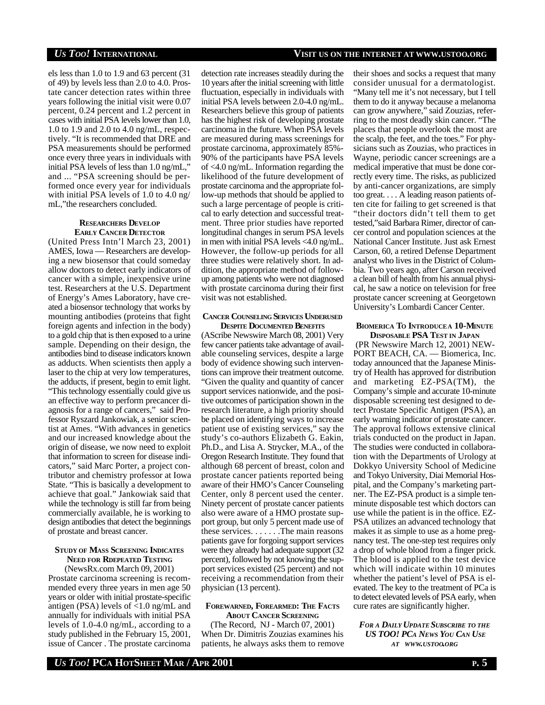els less than 1.0 to 1.9 and 63 percent (31 of 49) by levels less than 2.0 to 4.0. Prostate cancer detection rates within three years following the initial visit were 0.07 percent, 0.24 percent and 1.2 percent in cases with initial PSA levels lower than 1.0, 1.0 to 1.9 and 2.0 to 4.0 ng/mL, respectively. "It is recommended that DRE and PSA measurements should be performed once every three years in individuals with initial PSA levels of less than 1.0 ng/mL," and ... "PSA screening should be performed once every year for individuals with initial PSA levels of 1.0 to 4.0 ng/ mL,"the researchers concluded.

#### **RESEARCHERS DEVELOP EARLY CANCER DETECTOR**

(United Press Intn'l March 23, 2001) AMES, Iowa — Researchers are developing a new biosensor that could someday allow doctors to detect early indicators of cancer with a simple, inexpensive urine test. Researchers at the U.S. Department of Energy's Ames Laboratory, have created a biosensor technology that works by mounting antibodies (proteins that fight foreign agents and infection in the body) to a gold chip that is then exposed to a urine sample. Depending on their design, the antibodies bind to disease indicators known as adducts. When scientists then apply a laser to the chip at very low temperatures, the adducts, if present, begin to emit light. "This technology essentially could give us an effective way to perform precancer diagnosis for a range of cancers," said Professor Ryszard Jankowiak, a senior scientist at Ames. "With advances in genetics and our increased knowledge about the origin of disease, we now need to exploit that information to screen for disease indicators," said Marc Porter, a project contributor and chemistry professor at Iowa State. "This is basically a development to achieve that goal." Jankowiak said that while the technology is still far from being commercially available, he is working to design antibodies that detect the beginnings of prostate and breast cancer.

#### **STUDY OF MASS SCREENING INDICATES NEED FOR RDEPEATED TESTING** (NewsRx.com March 09, 2001)

Prostate carcinoma screening is recommended every three years in men age 50 years or older with initial prostate-specific antigen (PSA) levels of <1.0 ng/mL and annually for individuals with initial PSA levels of 1.0-4.0 ng/mL, according to a study published in the February 15, 2001, issue of Cancer . The prostate carcinoma

detection rate increases steadily during the 10 years after the initial screening with little fluctuation, especially in individuals with initial PSA levels between 2.0-4.0 ng/mL. Researchers believe this group of patients has the highest risk of developing prostate carcinoma in the future. When PSA levels are measured during mass screenings for prostate carcinoma, approximately 85%- 90% of the participants have PSA levels of <4.0 ng/mL. Information regarding the likelihood of the future development of prostate carcinoma and the appropriate follow-up methods that should be applied to such a large percentage of people is critical to early detection and successful treatment. Three prior studies have reported longitudinal changes in serum PSA levels in men with initial PSA levels <4.0 ng/mL. However, the follow-up periods for all three studies were relatively short. In addition, the appropriate method of followup among patients who were not diagnosed with prostate carcinoma during their first visit was not established.

#### **CANCER COUNSELING SERVICES UNDERUSED DESPITE DOCUMENTED BENEFITS**

(AScribe Newswire March 08, 2001) Very few cancer patients take advantage of available counseling services, despite a large body of evidence showing such interventions can improve their treatment outcome. "Given the quality and quantity of cancer support services nationwide, and the positive outcomes of participation shown in the research literature, a high priority should be placed on identifying ways to increase patient use of existing services," say the study's co-authors Elizabeth G. Eakin, Ph.D., and Lisa A. Strycker, M.A., of the Oregon Research Institute. They found that although 68 percent of breast, colon and prostate cancer patients reported being aware of their HMO's Cancer Counseling Center, only 8 percent used the center. Ninety percent of prostate cancer patients also were aware of a HMO prostate support group, but only 5 percent made use of these services. . . . . . .The main reasons patients gave for forgoing support services were they already had adequate support (32 percent), followed by not knowing the support services existed (25 percent) and not receiving a recommendation from their physician (13 percent).

#### **FOREWARNED, FOREARMED: THE FACTS ABOUT CANCER SCREENING**

(The Record, NJ - March 07, 2001) When Dr. Dimitris Zouzias examines his patients, he always asks them to remove their shoes and socks a request that many consider unusual for a dermatologist. "Many tell me it's not necessary, but I tell them to do it anyway because a melanoma can grow anywhere," said Zouzias, referring to the most deadly skin cancer. "The places that people overlook the most are the scalp, the feet, and the toes." For physicians such as Zouzias, who practices in Wayne, periodic cancer screenings are a medical imperative that must be done correctly every time. The risks, as publicized by anti-cancer organizations, are simply too great. . . . A leading reason patients often cite for failing to get screened is that "their doctors didn't tell them to get tested,"said Barbara Rimer, director of cancer control and population sciences at the National Cancer Institute. Just ask Ernest Carson, 60, a retired Defense Department analyst who lives in the District of Columbia. Two years ago, after Carson received a clean bill of health from his annual physical, he saw a notice on television for free prostate cancer screening at Georgetown University's Lombardi Cancer Center.

### **BIOMERICA TO INTRODUCEA 10-MINUTE DISPOSABLE PSA TEST IN JAPAN**

 (PR Newswire March 12, 2001) NEW-PORT BEACH, CA. — Biomerica, Inc. today announced that the Japanese Ministry of Health has approved for distribution and marketing EZ-PSA(TM), the Company's simple and accurate 10-minute disposable screening test designed to detect Prostate Specific Antigen (PSA), an early warning indicator of prostate cancer. The approval follows extensive clinical trials conducted on the product in Japan. The studies were conducted in collaboration with the Departments of Urology at Dokkyo University School of Medicine and Tokyo University, Diai Memorial Hospital, and the Company's marketing partner. The EZ-PSA product is a simple tenminute disposable test which doctors can use while the patient is in the office. EZ-PSA utilizes an advanced technology that makes it as simple to use as a home pregnancy test. The one-step test requires only a drop of whole blood from a finger prick. The blood is applied to the test device which will indicate within 10 minutes whether the patient's level of PSA is elevated. The key to the treatment of PCa is to detect elevated levels of PSA early, when cure rates are significantly higher.

#### *FOR <sup>A</sup> DAILY UPDATE SUBSCRIBE TO THE US TOO! PCA NEWS YOU CAN USE AT WWW.USTOO.ORG*

# *US TOO!* **INTERNATIONAL VISIT US ON THE INTERNET AT WWW.USTOO.ORG**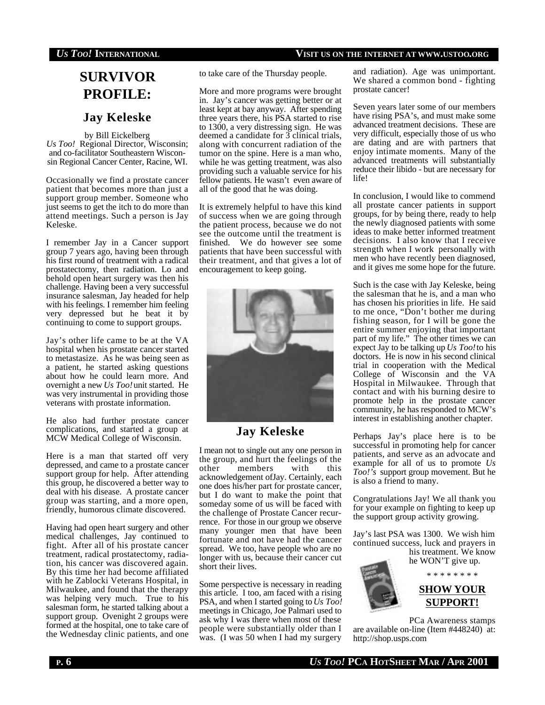# **SURVIVOR PROFILE:**

# **Jay Keleske**

by Bill Eickelberg *Us Too!* Regional Director, Wisconsin; and co-facilitator Southeastern Wisconsin Regional Cancer Center, Racine, WI.

Occasionally we find a prostate cancer patient that becomes more than just a support group member. Someone who just seems to get the itch to do more than attend meetings. Such a person is Jay Keleske.

I remember Jay in a Cancer support group 7 years ago, having been through his first round of treatment with a radical prostatectomy, then radiation. Lo and behold open heart surgery was then his challenge. Having been a very successful insurance salesman, Jay headed for help with his feelings. I remember him feeling very depressed but he beat it by continuing to come to support groups.

Jay's other life came to be at the VA hospital when his prostate cancer started to metastasize. As he was being seen as a patient, he started asking questions about how he could learn more. And overnight a new *Us Too!* unit started. He was very instrumental in providing those veterans with prostate information.

He also had further prostate cancer complications, and started a group at MCW Medical College of Wisconsin.

Here is a man that started off very depressed, and came to a prostate cancer support group for help. After attending this group, he discovered a better way to deal with his disease. A prostate cancer group was starting, and a more open, friendly, humorous climate discovered.

Having had open heart surgery and other medical challenges, Jay continued to fight. After all of his prostate cancer treatment, radical prostatectomy, radiation, his cancer was discovered again. By this time her had become affiliated with he Zablocki Veterans Hospital, in Milwaukee, and found that the therapy was helping very much. True to his salesman form, he started talking about a support group. Ovenight 2 groups were formed at the hospital, one to take care of the Wednesday clinic patients, and one

to take care of the Thursday people.

More and more programs were brought in. Jay's cancer was getting better or at least kept at bay anyway. After spending three years there, his PSA started to rise to 1300, a very distressing sign. He was deemed a candidate for 3 clinical trials, along with concurrent radiation of the tumor on the spine. Here is a man who, while he was getting treatment, was also providing such a valuable service for his fellow patients. He wasn't even aware of all of the good that he was doing.

It is extremely helpful to have this kind of success when we are going through the patient process, because we do not see the outcome until the treatment is finished. We do however see some patients that have been successful with their treatment, and that gives a lot of encouragement to keep going.



# **Jay Keleske**

I mean not to single out any one person in the group, and hurt the feelings of the<br>other members with this other members with this acknowledgement ofJay. Certainly, each one does his/her part for prostate cancer, but I do want to make the point that someday some of us will be faced with the challenge of Prostate Cancer recurrence. For those in our group we observe many younger men that have been fortunate and not have had the cancer spread. We too, have people who are no longer with us, because their cancer cut short their lives.

Some perspective is necessary in reading this article. I too, am faced with a rising PSA, and when I started going to *Us Too!* meetings in Chicago, Joe Palmari used to ask why I was there when most of these people were substantially older than I was. (I was 50 when I had my surgery

and radiation). Age was unimportant. We shared a common bond - fighting prostate cancer!

Seven years later some of our members have rising PSA's, and must make some advanced treatment decisions. These are very difficult, especially those of us who are dating and are with partners that enjoy intimate moments. Many of the advanced treatments will substantially reduce their libido - but are necessary for life!

In conclusion, I would like to commend all prostate cancer patients in support groups, for by being there, ready to help the newly diagnosed patients with some ideas to make better informed treatment decisions. I also know that I receive strength when I work personally with men who have recently been diagnosed, and it gives me some hope for the future.

Such is the case with Jay Keleske, being the salesman that he is, and a man who has chosen his priorities in life. He said to me once, "Don't bother me during fishing season, for I will be gone the entire summer enjoying that important part of my life." The other times we can expect Jay to be talking up *Us Too!* to his doctors. He is now in his second clinical trial in cooperation with the Medical College of Wisconsin and the VA Hospital in Milwaukee. Through that contact and with his burning desire to promote help in the prostate cancer community, he has responded to MCW's interest in establishing another chapter.

Perhaps Jay's place here is to be successful in promoting help for cancer patients, and serve as an advocate and example for all of us to promote *Us Too!'s* support group movement. But he is also a friend to many.

Congratulations Jay! We all thank you for your example on fighting to keep up the support group activity growing.

Jay's last PSA was 1300. We wish him continued success, luck and prayers in his treatment. We know

he WON'T give up. \* \* \* \* \* \* \* \*



**SHOW YOUR SUPPORT!**

PCa Awareness stamps are available on-line (Item #448240) at: http://shop.usps.com

**P. 6** *US TOO!* **PCA HOTSHEET MAR / APR 2001**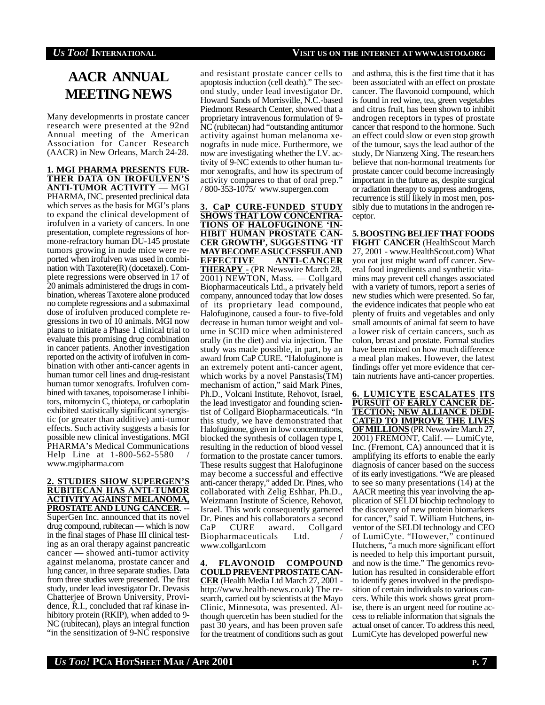# **AACR ANNUAL MEETING NEWS**

Many developmenrts in prostate cancer research were presented at the 92nd Annual meeting of the American Association for Cancer Research (AACR) in New Orleans, March 24-28.

**1. MGI PHARMA PRESENTS FUR-THER DATA ON IROFULVEN'S ANTI-TUMOR ACTIVITY** — MGI PHARMA, INC. presented preclinical data which serves as the basis for MGI's plans to expand the clinical development of irofulven in a variety of cancers. In one presentation, complete regressions of hormone-refractory human DU-145 prostate tumors growing in nude mice were reported when irofulven was used in combination with Taxotere(R) (docetaxel). Complete regressions were observed in 17 of 20 animals administered the drugs in combination, whereas Taxotere alone produced no complete regressions and a submaximal dose of irofulven produced complete regressions in two of 10 animals. MGI now plans to initiate a Phase 1 clinical trial to evaluate this promising drug combination in cancer patients. Another investigation reported on the activity of irofulven in combination with other anti-cancer agents in human tumor cell lines and drug-resistant human tumor xenografts. Irofulven combined with taxanes, topoisomerase I inhibitors, mitomycin C, thiotepa, or carboplatin exhibited statistically significant synergistic (or greater than additive) anti-tumor effects. Such activity suggests a basis for possible new clinical investigations. MGI PHARMA's Medical Communications Help Line at 1-800-562-5580 / www.mgipharma.com

#### **2. STUDIES SHOW SUPERGEN'S RUBITECAN HAS ANTI-TUMOR ACTIVITY AGAINST MELANOMA, PROSTATE AND LUNG CANCER**. -- SuperGen Inc. announced that its novel drug compound, rubitecan — which is now in the final stages of Phase III clinical testing as an oral therapy against pancreatic cancer — showed anti-tumor activity against melanoma, prostate cancer and lung cancer, in three separate studies. Data from three studies were presented. The first study, under lead investigator Dr. Devasis Chatterjee of Brown University, Providence, R.I., concluded that raf kinase inhibitory protein (RKIP), when added to 9- NC (rubitecan), plays an integral function "in the sensitization of 9-NC responsive

and resistant prostate cancer cells to apoptosis induction (cell death)." The second study, under lead investigator Dr. Howard Sands of Morrisville, N.C.-based Piedmont Research Center, showed that a proprietary intravenous formulation of 9- NC (rubitecan) had "outstanding antitumor activity against human melanoma xenografts in nude mice. Furthermore, we now are investigating whether the I.V. activity of 9-NC extends to other human tumor xenografts, and how its spectrum of activity compares to that of oral prep." / 800-353-1075/ www.supergen.com

**3. CaP CURE-FUNDED STUDY SHOWS THAT LOW CONCENTRA-TIONS OF HALOFUGINONE 'IN-HIBIT HUMAN PROSTATE CAN-CER GROWTH', SUGGESTING 'IT MAYBECOMEASUCCESSFULAND EFFECTIVE ANTI-CANCER THERAPY -** (PR Newswire March 28, 2001) NEWTON, Mass. — Collgard Biopharmaceuticals Ltd., a privately held company, announced today that low doses of its proprietary lead compound, Halofuginone, caused a four- to five-fold decrease in human tumor weight and volume in SCID mice when administered orally (in the diet) and via injection. The study was made possible, in part, by an award from CaP CURE. "Halofuginone is an extremely potent anti-cancer agent, which works by a novel Panstasis(TM) mechanism of action," said Mark Pines, Ph.D., Volcani Institute, Rehovot, Israel, the lead investigator and founding scientist of Collgard Biopharmaceuticals. "In this study, we have demonstrated that Halofuginone, given in low concentrations, blocked the synthesis of collagen type I, resulting in the reduction of blood vessel formation to the prostate cancer tumors. These results suggest that Halofuginone may become a successful and effective anti-cancer therapy," added Dr. Pines, who collaborated with Zelig Eshhar, Ph.D., Weizmann Institute of Science, Rehovot, Israel. This work consequently garnered Dr. Pines and his collaborators a second<br>CaP CURE award. Collgard award. Collgard Biopharmaceuticals Ltd. www.collgard.com

**4. FLAVONOID COMPOUND COULDPREVENTPROSTATECAN-CER** (Health Media Ltd March 27, 2001 http://www.health-news.co.uk) The research, carried out by scientists at the Mayo Clinic, Minnesota, was presented. Although quercetin has been studied for the past 30 years, and has been proven safe for the treatment of conditions such as gout and asthma, this is the first time that it has been associated with an effect on prostate cancer. The flavonoid compound, which is found in red wine, tea, green vegetables and citrus fruit, has been shown to inhibit androgen receptors in types of prostate cancer that respond to the hormone. Such an effect could slow or even stop growth of the tumour, says the lead author of the study, Dr Nianzeng Xing. The researchers believe that non-hormonal treatments for prostate cancer could become increasingly important in the future as, despite surgical or radiation therapy to suppress androgens, recurrence is still likely in most men, possibly due to mutations in the androgen receptor.

**5. BOOSTING BELIEF THAT FOODS FIGHT CANCER** (HealthScout March 27, 2001 - www.HealthScout.com) What you eat just might ward off cancer. Several food ingredients and synthetic vitamins may prevent cell changes associated with a variety of tumors, report a series of new studies which were presented. So far, the evidence indicates that people who eat plenty of fruits and vegetables and only small amounts of animal fat seem to have a lower risk of certain cancers, such as colon, breast and prostate. Formal studies have been mixed on how much difference a meal plan makes. However, the latest findings offer yet more evidence that certain nutrients have anti-cancer properties.

**6. LUMICYTE ESCALATES ITS PURSUIT OF EARLY CANCER DE-TECTION; NEW ALLIANCE DEDI-CATED TO IMPROVE THE LIVES OFMILLIONS** (PR Newswire March 27, 2001) FREMONT, Calif. — LumiCyte, Inc. (Fremont, CA) announced that it is amplifying its efforts to enable the early diagnosis of cancer based on the success of its early investigations. "We are pleased to see so many presentations (14) at the AACR meeting this year involving the application of SELDI biochip technology to the discovery of new protein biomarkers for cancer," said T. William Hutchens, inventor of the SELDI technology and CEO of LumiCyte. "However," continued Hutchens, "a much more significant effort is needed to help this important pursuit, and now is the time." The genomics revolution has resulted in considerable effort to identify genes involved in the predisposition of certain individuals to various cancers. While this work shows great promise, there is an urgent need for routine access to reliable information that signals the actual onset of cancer. To address this need, LumiCyte has developed powerful new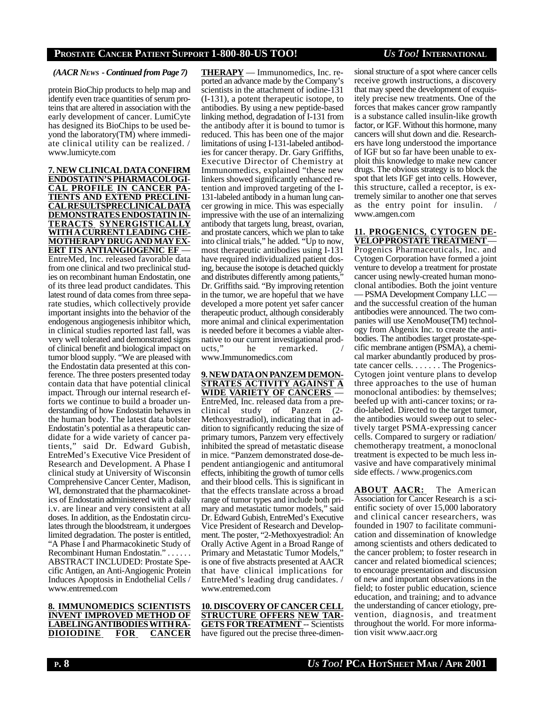### *(AACR NEWS - Continued from Page 7)*

protein BioChip products to help map and identify even trace quantities of serum proteins that are altered in association with the early development of cancer. LumiCyte has designed its BioChips to be used beyond the laboratory(TM) where immediate clinical utility can be realized. / www.lumicyte.com

### **7. NEW CLINICALDATACONFIRM ENDOSTATIN'SPHARMACOLOGI-CAL PROFILE IN CANCER PA-TIENTS AND EXTEND PRECLINI-CALRESULTSPRECLINICALDATA DEMONSTRATESENDOSTATIN IN-TERACTS SYNERGISTICALLY WITHACURRENTLEADING CHE-MOTHERAPYDRUGANDMAYEX-ERT ITS ANTIANGIOGENIC EF** —

EntreMed, Inc. released favorable data from one clinical and two preclinical studies on recombinant human Endostatin, one of its three lead product candidates. This latest round of data comes from three separate studies, which collectively provide important insights into the behavior of the endogenous angiogenesis inhibitor which, in clinical studies reported last fall, was very well tolerated and demonstrated signs of clinical benefit and biological impact on tumor blood supply. "We are pleased with the Endostatin data presented at this conference. The three posters presented today contain data that have potential clinical impact. Through our internal research efforts we continue to build a broader understanding of how Endostatin behaves in the human body. The latest data bolster Endostatin's potential as a therapeutic candidate for a wide variety of cancer patients," said Dr. Edward Gubish, EntreMed's Executive Vice President of Research and Development. A Phase I clinical study at University of Wisconsin Comprehensive Cancer Center, Madison, WI, demonstrated that the pharmacokinetics of Endostatin administered with a daily i.v. are linear and very consistent at all doses. In addition, as the Endostatin circulates through the bloodstream, it undergoes limited degradation. The poster is entitled, "A Phase I and Pharmacokinetic Study of Recombinant Human Endostatin." . . . . . . ABSTRACT INCLUDED: Prostate Specific Antigen, an Anti-Angiogenic Protein Induces Apoptosis in Endothelial Cells / www.entremed.com

**8. IMMUNOMEDICS SCIENTISTS INVENT IMPROVED METHOD OF LABELINGANTIBODIESWITHRA-DIOIODINE FOR CANCER** **THERAPY** — Immunomedics, Inc. reported an advance made by the Company's scientists in the attachment of iodine-131 (I-131), a potent therapeutic isotope, to antibodies. By using a new peptide-based linking method, degradation of I-131 from the antibody after it is bound to tumor is reduced. This has been one of the major limitations of using I-131-labeled antibodies for cancer therapy. Dr. Gary Griffiths, Executive Director of Chemistry at Immunomedics, explained "these new linkers showed significantly enhanced retention and improved targeting of the I-131-labeled antibody in a human lung cancer growing in mice. This was especially impressive with the use of an internalizing antibody that targets lung, breast, ovarian, and prostate cancers, which we plan to take into clinical trials," he added. "Up to now, most therapeutic antibodies using I-131 have required individualized patient dosing, because the isotope is detached quickly and distributes differently among patients, Dr. Griffiths said. "By improving retention in the tumor, we are hopeful that we have developed a more potent yet safer cancer therapeutic product, although considerably more animal and clinical experimentation is needed before it becomes a viable alternative to our current investigational products," he remarked. www.Immunomedics.com

**9. NEWDATAON PANZEMDEMON-STRATES ACTIVITY AGAINST A WIDE VARIETY OF CANCERS** — EntreMed, Inc. released data from a preclinical study of Panzem (2- Methoxyestradiol), indicating that in addition to significantly reducing the size of primary tumors, Panzem very effectively inhibited the spread of metastatic disease in mice. "Panzem demonstrated dose-dependent antiangiogenic and antitumoral effects, inhibiting the growth of tumor cells and their blood cells. This is significant in that the effects translate across a broad range of tumor types and include both primary and metastatic tumor models," said Dr. Edward Gubish, EntreMed's Executive Vice President of Research and Development. The poster, "2-Methoxyestradiol: An Orally Active Agent in a Broad Range of Primary and Metastatic Tumor Models," is one of five abstracts presented at AACR that have clinical implications for EntreMed's leading drug candidates. / www.entremed.com

**10. DISCOVERYOFCANCER CELL STRUCTURE OFFERS NEW TAR-GETS FOR TREATMENT** -- Scientists have figured out the precise three-dimensional structure of a spot where cancer cells receive growth instructions, a discovery that may speed the development of exquisitely precise new treatments. One of the forces that makes cancer grow rampantly is a substance called insulin-like growth factor, or IGF. Without this hormone, many cancers will shut down and die. Researchers have long understood the importance of IGF but so far have been unable to exploit this knowledge to make new cancer drugs. The obvious strategy is to block the spot that lets IGF get into cells. However, this structure, called a receptor, is extremely similar to another one that serves as the entry point for insulin. www.amgen.com

#### **11. PROGENICS, CYTOGEN DE-VELOPPROSTATETREATMENT**—

Progenics Pharmaceuticals, Inc. and Cytogen Corporation have formed a joint venture to develop a treatment for prostate cancer using newly-created human monoclonal antibodies. Both the joint venture — PSMA Development Company LLC and the successful creation of the human antibodies were announced. The two companies will use XenoMouse(TM) technology from Abgenix Inc. to create the antibodies. The antibodies target prostate-specific membrane antigen (PSMA), a chemical marker abundantly produced by prostate cancer cells. . . . . . . The Progenics-Cytogen joint venture plans to develop three approaches to the use of human monoclonal antibodies: by themselves; beefed up with anti-cancer toxins; or radio-labeled. Directed to the target tumor, the antibodies would sweep out to selectively target PSMA-expressing cancer cells. Compared to surgery or radiation/ chemotherapy treatment, a monoclonal treatment is expected to be much less invasive and have comparatively minimal side effects. / www.progenics.com

**ABOUT AACR:** The American Association for Cancer Research is a scientific society of over 15,000 laboratory and clinical cancer researchers, was founded in 1907 to facilitate communication and dissemination of knowledge among scientists and others dedicated to the cancer problem; to foster research in cancer and related biomedical sciences; to encourage presentation and discussion of new and important observations in the field; to foster public education, science education, and training; and to advance the understanding of cancer etiology, prevention, diagnosis, and treatment throughout the world. For more information visit www.aacr.org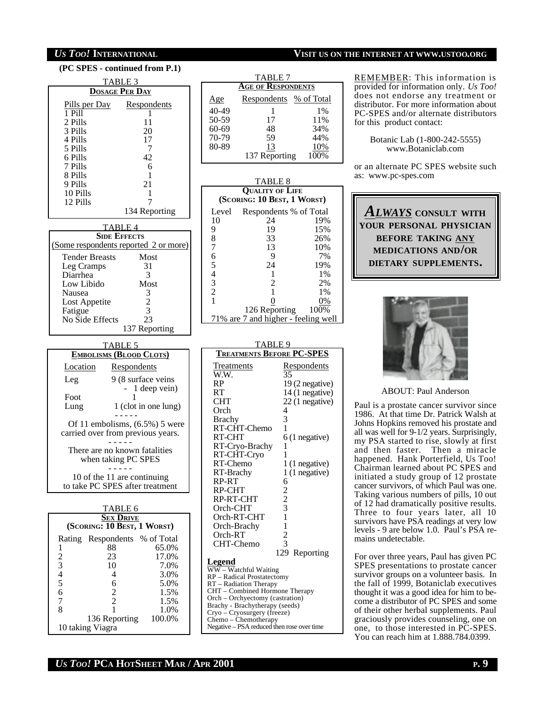| (PC SPES - continued from P.1)                                 |  |  |  |
|----------------------------------------------------------------|--|--|--|
| TABLE 3                                                        |  |  |  |
| <b>DOSAGE PER DAY</b>                                          |  |  |  |
| Pills per Day Respondents                                      |  |  |  |
| 1 Pill<br>L<br>2 Pills                                         |  |  |  |
| 11<br>3 Pills<br>20                                            |  |  |  |
| 17<br>4 Pills                                                  |  |  |  |
| 5 Pills<br>7                                                   |  |  |  |
| 6 Pills<br>42<br>7 Pills                                       |  |  |  |
| 6<br>8 Pills<br>1                                              |  |  |  |
| 21<br>9 Pills                                                  |  |  |  |
| 10 Pills<br>1                                                  |  |  |  |
| 12 Pills<br>134 Reporting                                      |  |  |  |
|                                                                |  |  |  |
| TABLE 4<br><b>SIDE EFFECTS</b>                                 |  |  |  |
| (Some respondents reported 2 or more)                          |  |  |  |
| <b>Tender Breasts</b><br>Most                                  |  |  |  |
| 31<br>Leg Cramps                                               |  |  |  |
| Diarrhea<br>3                                                  |  |  |  |
| Low Libido<br>Most<br>3                                        |  |  |  |
| Nausea<br>2<br>Lost Appetite                                   |  |  |  |
| 3<br>Fatigue                                                   |  |  |  |
| No Side Effects<br>23                                          |  |  |  |
| 137 Reporting                                                  |  |  |  |
| <b>TABLE 5</b>                                                 |  |  |  |
| <b>EMBOLISMS (BLOOD CLOTS)</b>                                 |  |  |  |
| Location<br>Respondents                                        |  |  |  |
| 9 (8 surface veins<br>Leg                                      |  |  |  |
| 1 deep vein)                                                   |  |  |  |
| Foot<br>1 (clot in one lung)<br>Lung                           |  |  |  |
|                                                                |  |  |  |
| Of 11 embolisms, $(6.5\%)$ 5 were                              |  |  |  |
| carried over from previous years.                              |  |  |  |
| There are no known fatalities                                  |  |  |  |
| when taking PC SPES                                            |  |  |  |
|                                                                |  |  |  |
| 10 of the 11 are continuing<br>to take PC SPES after treatment |  |  |  |
|                                                                |  |  |  |
| TABLE 6                                                        |  |  |  |
| <b>SEX DRIVE</b>                                               |  |  |  |
| (SCORING: 10 BEST, 1 WORST)                                    |  |  |  |
| Rating Respondents % of Total<br>65.0%<br>88<br>1              |  |  |  |
| $\overline{c}$<br>23<br>17.0%                                  |  |  |  |
| 3<br>10<br>7.0%                                                |  |  |  |
| $rac{4}{5}$<br>4<br>3.0%                                       |  |  |  |
| 6<br>5.0%<br>6<br>$\overline{c}$<br>1.5%                       |  |  |  |
| 7<br>2<br>1.5%                                                 |  |  |  |
| 8<br>1<br>1.0%                                                 |  |  |  |
| 136 Reporting 100.0%                                           |  |  |  |

| <u>Age</u>                                 | Respondents % of Total                                        |               |                                    |
|--------------------------------------------|---------------------------------------------------------------|---------------|------------------------------------|
| 40-49                                      | 1                                                             |               | 1%                                 |
| 50-59                                      | 17                                                            |               | 11%                                |
| 60-69                                      | 48                                                            |               | 34%                                |
| 70-79<br>80-89                             | 59<br>13                                                      |               | 44%<br>10%                         |
|                                            | 137 Reporting                                                 |               | 100%                               |
|                                            |                                                               |               |                                    |
|                                            | TABLE 8                                                       |               |                                    |
|                                            | <b>QUALITY OF LIFE</b><br>(SCORING: 10 BEST, 1 WORST)         |               |                                    |
| Level                                      | Respondents % of Total                                        |               |                                    |
| 10                                         | 24                                                            |               | 19%                                |
| 9                                          | 19                                                            |               | 15%                                |
| 8<br>7                                     | 33<br>13                                                      |               | 26%<br>10%                         |
|                                            | 9                                                             |               | 7%                                 |
|                                            | 24                                                            |               | 19%                                |
|                                            | 1                                                             |               | 1%                                 |
| 654321                                     | $\frac{2}{1}$                                                 |               | 2%                                 |
|                                            | $\overline{0}$                                                |               | 1%<br>0%                           |
|                                            | 126 Reporting                                                 |               | 100%                               |
|                                            | 71% are 7 and higher - feeling well                           |               |                                    |
|                                            |                                                               |               |                                    |
|                                            | <b>TABLE 9</b>                                                |               |                                    |
|                                            | <b>TREATMENTS BEFORE PC-SPES</b>                              |               |                                    |
| Treatments                                 |                                                               |               | Respondents                        |
| W.W.                                       |                                                               | 35            |                                    |
| RP                                         |                                                               |               | 19 (2 negative)                    |
| <b>RT</b><br>CHT                           |                                                               |               | 14 (1 negative)<br>22 (1 negative) |
| Orch                                       |                                                               | 4             |                                    |
| Brachy                                     |                                                               | 3             |                                    |
|                                            | RT-CHT-Chemo                                                  | 1             |                                    |
| RT-CHT                                     |                                                               |               | $6(1$ negative)                    |
|                                            | RT-Cryo-Brachy<br>RT-CHT-Cryo                                 | 1<br>1        |                                    |
| RT-Chemo                                   |                                                               |               | 1 (1 negative)                     |
| RT-Brachy                                  |                                                               |               | 1 (1 negative)                     |
| RP-RT                                      |                                                               | 6             |                                    |
| RP-CHT                                     |                                                               | 2             |                                    |
| RP-RT-CHT<br>Orch-CHT                      |                                                               |               |                                    |
|                                            | Orch-RT-CHT                                                   | $\frac{2}{3}$ |                                    |
| Orch-Brachy                                |                                                               |               |                                    |
| Orch-RT                                    |                                                               | $\frac{1}{2}$ |                                    |
| CHT-Chemo                                  |                                                               |               |                                    |
|                                            |                                                               |               | 129 Reporting                      |
| <b>Legend</b>                              | WW - Watchful Waiting                                         |               |                                    |
|                                            | RP – Radical Prostatectomy<br>RT – Radiation Therapy          |               |                                    |
|                                            | CHT - Combined Hormone Therapy                                |               |                                    |
|                                            | Orch - Orchyectomy (castration)                               |               |                                    |
|                                            | Brachy - Brachytherapy (seeds)<br>Cryo – Cryosurgery (freeze) |               |                                    |
|                                            | Chemo - Chemotherapy                                          |               |                                    |
| Negative - PSA reduced then rose over time |                                                               |               |                                    |

TABLE 7 **AGE OF RESPONDENTS**

### *US TOO!* **INTERNATIONAL VISIT US ON THE INTERNET AT WWW.USTOO.ORG**

REMEMBER: This information is provided for information only. *Us Too!* does not endorse any treatment or distributor. For more information about PC-SPES and/or alternate distributors for this product contact:

> Botanic Lab (1-800-242-5555) www.Botaniclab.com

or an alternate PC SPES website such as: www.pc-spes.com

*ALWAYS* **CONSULT WITH YOUR PERSONAL PHYSICIAN BEFORE TAKING ANY MEDICATIONS AND/OR DIETARY SUPPLEMENTS.**



### ABOUT: Paul Anderson

Paul is a prostate cancer survivor since 1986. At that time Dr. Patrick Walsh at Johns Hopkins removed his prostate and all was well for 9-1/2 years. Surprisingly, my PSA started to rise, slowly at first and then faster. Then a miracle happened. Hank Porterfield, Us Too! Chairman learned about PC SPES and initiated a study group of 12 prostate cancer survivors, of which Paul was one. Taking various numbers of pills, 10 out of 12 had dramatically positive results. Three to four years later, all 10 survivors have PSA readings at very low levels - 9 are below 1.0. Paul's PSA remains undetectable.

For over three years, Paul has given PC SPES presentations to prostate cancer survivor groups on a volunteer basis. In the fall of 1999, Botaniclab executives thought it was a good idea for him to become a distributor of PC SPES and some of their other herbal supplements. Paul graciously provides counseling, one on one, to those interested in PC-SPES. You can reach him at 1.888.784.0399.

### *US TOO!* **PCA HOTSHEET MAR / APR 2001 P. 9**

10 taking Viagra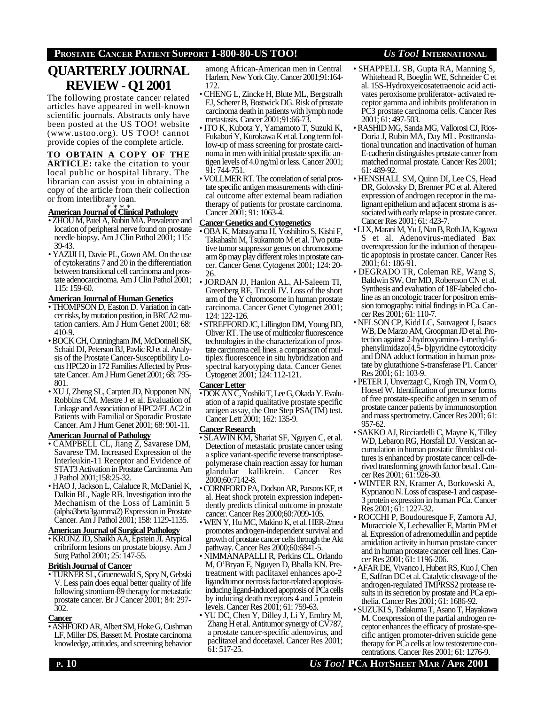# **QUARTERLY JOURNAL REVIEW - Q1 2001**

The following prostate cancer related articles have appeared in well-known scientific journals. Abstracts only have been posted at the US TOO! website (www.ustoo.org). US TOO! cannot provide copies of the complete article.

## **TO OBTAIN A COPY OF THE**

**ARTICLE:** take the citation to your local public or hospital library. The librarian can assist you in obtaining a copy of the article from their collection or from interlibrary loan.

### \* \* \* \* **AmericanJournal of Clinical Pathology**

- ZHOU M, Patel A, Rubin MA. Prevalence and location of peripheral nerve found on prostate needle biopsy. Am J Clin Pathol 2001; 115: 39-43.
- YAZIJI H, Davie PL, Gown AM. On the use of cytokeratins 7 and 20 in the differentiation between transitional cell carcinoma and prostate adenocarcinoma. Am J Clin Pathol 2001; 115: 159-60.

### **AmericanJournal of Human Genetics**

- THOMPSON D, Easton D. Variation in cancer risks, by mutation position, in BRCA2 mutation carriers. Am J Hum Genet 2001; 68: 410-9.
- BOCK CH, Cunningham JM, McDonnell SK, Schaid DJ, Peterson BJ, Pavlic RJ et al. Analysis of the Prostate Cancer-Susceptibility Locus HPC20 in 172 Families Affected by Prostate Cancer. Am J Hum Genet 2001; 68: 795- 801.
- XU J, Zheng SL, Carpten JD, Nupponen NN, Robbins CM, Mestre J et al. Evaluation of Linkage and Association of HPC2/ELAC2 in Patients with Familial or Sporadic Prostate Cancer. Am J Hum Genet 2001; 68: 901-11.

### **AmericanJournal of Pathology**

- CAMPBELL CL, Jiang Z, Savarese DM, Savarese TM. Increased Expression of the Interleukin-11 Receptor and Evidence of STAT3 Activation in Prostate Carcinoma. Am J Pathol 2001;158:25-32.
- HAO J, Jackson L, Calaluce R, McDaniel K, Dalkin BL, Nagle RB. Investigation into the Mechanism of the Loss of Laminin 5 (alpha3beta3gamma2) Expression in Prostate Cancer. Am J Pathol 2001; 158: 1129-1135.

### **AmericanJournal of Surgical Pathology**

• KRONZ JD, Shaikh AA, Epstein JI. Atypical cribriform lesions on prostate biopsy. Am J Surg Pathol 2001; 25: 147-55.

### **BritishJournal of Cancer**

• TURNER SL, Gruenewald S, Spry N, Gebski V. Less pain does equal better quality of life following strontium-89 therapy for metastatic prostate cancer. Br J Cancer 2001; 84: 297- 302.

### **Cancer**

• ASHFORD AR, Albert SM, Hoke G, Cushman LF, Miller DS, Bassett M. Prostate carcinoma knowledge, attitudes, and screening behavior

among African-American men in Central Harlem, New York City. Cancer 2001;91:164- 172.

- CHENG L, Zincke H, Blute ML, Bergstralh EJ, Scherer B, Bostwick DG. Risk of prostate carcinoma death in patients with lymph node metastasis. Cancer 2001;91:66-73.
- ITO K, Kubota Y, Yamamoto T, Suzuki K, Fukabori Y, Kurokawa K et al. Long term follow-up of mass screening for prostate carcinoma in men with initial prostate specific antigen levels of 4.0 ng/ml or less. Cancer 2001; 91: 744-751.
- VOLLMER RT. The correlation of serial prostate specific antigen measurements with clinical outcome after external beam radiation therapy of patients for prostate carcinoma. Cancer 2001; 91: 1063-4.

#### **Cancer Genetics and Cytogenetics**

- OBA K, Matsuyama H, Yoshihiro S, Kishi F, Takahashi M, Tsukamoto M et al. Two putative tumor suppressor genes on chromosome arm 8p may play different roles in prostate cancer. Cancer Genet Cytogenet 2001; 124: 20- 26.
- JORDAN JJ, Hanlon AL, Al-Saleem TI, Greenberg RE, Tricoli JV. Loss of the short arm of the Y chromosome in human prostate carcinoma. Cancer Genet Cytogenet 2001;  $124 \cdot 122 - 126$
- STREFFORD JC, Lillington DM, Young BD, Oliver RT. The use of multicolor fluorescence technologies in the characterization of prostate carcinoma cell lines. a comparison of multiplex fluorescence in situ hybridization and spectral karyotyping data. Cancer Genet Cytogenet 2001; 124: 112-121.

#### **CancerLetter**

• DOK AN C, Yoshiki T, Lee G, Okada Y. Evaluation of a rapid qualitative prostate specific antigen assay, the One Step PSA(TM) test. Cancer Lett 2001; 162: 135-9.

### **Cancer Research**

- SLAWIN KM, Shariat SF, Nguyen C, et al. Detection of metastatic prostate cancer using a splice variant-specific reverse transcriptasepolymerase chain reaction assay for human glandular kallikrein. Cancer Res 2000;60:7142-8.
- CORNFORD PA, Dodson AR, Parsons KF, et al. Heat shock protein expression independently predicts clinical outcome in prostate cancer. Cancer Res 2000;60:7099-105.
- WEN Y, Hu MC, Makino K, et al. HER-2/neu promotes androgen-independent survival and growth of prostate cancer cells through the Akt pathway. Cancer Res 2000;60:6841-5.
- NIMMANAPALLI R, Perkins CL, Orlando M, O'Bryan E, Nguyen D, Bhalla KN. Pretreatment with paclitaxel enhances apo-2 ligand/tumor necrosis factor-related apoptosisinducing ligand-induced apoptosis of PCa cells by inducing death receptors 4 and 5 protein levels. Cancer Res 2001; 61: 759-63.
- YU DC, Chen Y, Dilley J, Li Y, Embry M, Zhang H et al. Antitumor synergy of CV787, a prostate cancer-specific adenovirus, and paclitaxel and docetaxel. Cancer Res 2001; 61: 517-25.
- SHAPPELL SB, Gupta RA, Manning S, Whitehead R, Boeglin WE, Schneider C et al. 15S-Hydroxyeicosatetraenoic acid activates peroxisome proliferator- activated receptor gamma and inhibits proliferation in PC3 prostate carcinoma cells. Cancer Res 2001; 61: 497-503.
- RASHID MG, Sanda MG, Vallorosi CJ, Rios-Doria J, Rubin MA, Day ML. Posttranslational truncation and inactivation of human E-cadherin distinguishes prostate cancer from matched normal prostate. Cancer Res 2001; 61: 489-92.
- HENSHALL SM, Quinn DI, Lee CS, Head DR, Golovsky D, Brenner PC et al. Altered expression of androgen receptor in the malignant epithelium and adjacent stroma is associated with early relapse in prostate cancer. Cancer Res 2001; 61: 423-7.
- LI X, Marani M, Yu J, Nan B, Roth JA, Kagawa S et al. Adenovirus-mediated Bax overexpression for the induction of therapeutic apoptosis in prostate cancer. Cancer Res 2001; 61: 186-91.
- DEGRADO TR, Coleman RE, Wang S, Baldwin SW, Orr MD, Robertson CN et al. Synthesis and evaluation of 18F-labeled choline as an oncologic tracer for positron emission tomography: initial findings in PCa. Cancer Res 2001; 61: 110-7.
- NELSON CP, Kidd LC, Sauvageot J, Isaacs WB, De Marzo AM, Groopman JD et al. Protection against 2-hydroxyamino-1-methyl-6 phenylimidazo[4,5- b]pyridine cytotoxicity and DNA adduct formation in human prostate by glutathione S-transferase P1. Cancer Res 2001; 61: 103-9.
- PETER J, Unverzagt C, Krogh TN, Vorm O, Hoesel W. Identification of precursor forms of free prostate-specific antigen in serum of prostate cancer patients by immunosorption and mass spectrometry. Cancer Res 2001; 61: 957-62.
- SAKKO AJ, Ricciardelli C, Mayne K, Tilley WD, Lebaron RG, Horsfall DJ. Versican accumulation in human prostatic fibroblast cultures is enhanced by prostate cancer cell-derived transforming growth factor beta1. Cancer Res 2001; 61: 926-30.
- WINTER RN, Kramer A, Borkowski A, Kyprianou N. Loss of caspase-1 and caspase-3 protein expression in human PCa. Cancer Res 2001; 61: 1227-32.
- ROCCHI P, Boudouresque F, Zamora AJ, Muracciole X, Lechevallier E, Martin PM et al. Expression of adrenomedullin and peptide amidation activity in human prostate cancer and in human prostate cancer cell lines. Cancer Res 2001; 61: 1196-206.
- AFAR DE, Vivanco I, Hubert RS, Kuo J, Chen E, Saffran DC et al. Catalytic cleavage of the androgen-regulated TMPRSS2 protease results in its secretion by prostate and PCa epithelia. Cancer Res 2001; 61: 1686-92.
- SUZUKI S, Tadakuma T, Asano T, Hayakawa M. Coexpression of the partial androgen receptor enhances the efficacy of prostate-specific antigen promoter-driven suicide gene therapy for PCa cells at low testosterone concentrations. Cancer Res 2001; 61: 1276-9.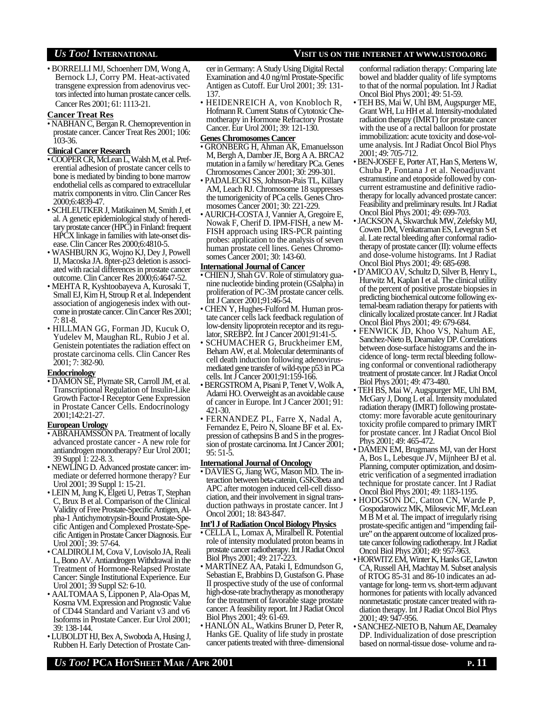• BORRELLI MJ, Schoenherr DM, Wong A, Bernock LJ, Corry PM. Heat-activated transgene expression from adenovirus vectors infected into human prostate cancer cells. Cancer Res 2001; 61: 1113-21.

#### **Cancer Treat Res**

• NABHAN C, Bergan R. Chemoprevention in prostate cancer. Cancer Treat Res 2001; 106: 103-36.

#### **Clinical Cancer Research**

- COOPER CR, McLean L, Walsh M, et al. Preferential adhesion of prostate cancer cells to bone is mediated by binding to bone marrow endothelial cells as compared to extracellular matrix components in vitro. Clin Cancer Res 2000;6:4839-47.
- SCHLEUTKER J, Matikainen M, Smith J, et al. A genetic epidemiological study of hereditary prostate cancer (HPC) in Finland: frequent HPCX linkage in families with late-onset disease. Clin Cancer Res 2000;6:4810-5.
- WASHBURN JG, Wojno KJ, Dey J, Powell IJ, Macoska JA. 8pter-p23 deletion is associated with racial differences in prostate cancer outcome. Clin Cancer Res 2000;6:4647-52.
- MEHTA R, Kyshtoobayeva A, Kurosaki T, Small EJ, Kim H, Stroup R et al. Independent association of angiogenesis index with outcome in prostate cancer. Clin Cancer Res 2001; 7: 81-8.
- HILLMAN GG, Forman JD, Kucuk O, Yudelev M, Maughan RL, Rubio J et al. Genistein potentiates the radiation effect on prostate carcinoma cells. Clin Cancer Res 2001; 7: 382-90.

#### **Endocrinology**

• DAMON SE, Plymate SR, Carroll JM, et al. Transcriptional Regulation of Insulin-Like Growth Factor-I Receptor Gene Expression in Prostate Cancer Cells. Endocrinology 2001;142:21-27.

#### **European Urology**

- ABRAHAMSSON PA. Treatment of locally advanced prostate cancer - A new role for antiandrogen monotherapy? Eur Urol 2001; 39 Suppl 1: 22-8. 3.
- NEWLING D. Advanced prostate cancer: immediate or deferred hormone therapy? Eur Urol 2001; 39 Suppl 1: 15-21.
- LEIN M, Jung K, Elgeti U, Petras T, Stephan C, Brux B et al. Comparison of the Clinical Validity of Free Prostate-Specific Antigen, Alpha-1 Antichymotrypsin-Bound Prostate-Specific Antigen and Complexed Prostate-Specific Antigen in Prostate Cancer Diagnosis. Eur Urol 2001; 39: 57-64.
- CALDIROLI M, Cova V, Lovisolo JA, Reali L, Bono AV. Antiandrogen Withdrawal in the Treatment of Hormone-Relapsed Prostate Cancer: Single Institutional Experience. Eur Urol 2001; 39 Suppl S2: 6-10.
- AALTOMAA S, Lipponen P, Ala-Opas M, Kosma VM. Expression and Prognostic Value of CD44 Standard and Variant v3 and v6 Isoforms in Prostate Cancer. Eur Urol 2001; 39: 138-144.
- LUBOLDT HJ, Bex A, Swoboda A, Husing J, Rubben H. Early Detection of Prostate Can-

cer in Germany: A Study Using Digital Rectal Examination and 4.0 ng/ml Prostate-Specific Antigen as Cutoff. Eur Urol 2001; 39: 131- 137.

• HEIDENREICH A, von Knobloch R, Hofmann R. Current Status of Cytotoxic Chemotherapy in Hormone Refractory Prostate Cancer. Eur Urol 2001; 39: 121-130.

#### **Genes Chromosomes Cancer**

- GRONBERG H, Ahman AK, Emanuelsson M, Bergh A, Damber JE, Borg A A. BRCA2 mutation in a family w/ hereditary PCa. Genes Chromosomes Cancer 2001; 30: 299-301.
- PADALECKI SS, Johnson-Pais TL, Killary AM, Leach RJ. Chromosome 18 suppresses the tumorigenicity of PCa cells. Genes Chromosomes Cancer 2001; 30: 221-229.
- AURICH-COSTA J, Vannier A, Gregoire E, Nowak F, Cherif D. IPM-FISH, a new M-FISH approach using IRS-PCR painting probes: application to the analysis of seven human prostate cell lines. Genes Chromosomes Cancer 2001; 30: 143-60.

#### **International Journal of Cancer**

- CHIEN J, Shah GV. Role of stimulatory guanine nucleotide binding protein (GSalpha) in proliferation of PC-3M prostate cancer cells. Int J Cancer 2001;91:46-54.
- CHEN Y, Hughes-Fulford M. Human prostate cancer cells lack feedback regulation of low-density lipoprotein receptor and its regulator, SREBP2. Int J Cancer 2001;91:41-5.
- SCHUMACHER G, Bruckheimer EM, Beham AW, et al. Molecular determinants of cell death induction following adenovirusmediated gene transfer of wild-type p53 in PCa cells. Int J Cancer 2001;91:159-166.
- BERGSTROM A, Pisani P, Tenet V, Wolk A, Adami HO. Overweight as an avoidable cause of cancer in Europe. Int J Cancer 2001; 91: 421-30.
- FERNANDEZ PL, Farre X, Nadal A, Fernandez E, Peiro N, Sloane BF et al. Expression of cathepsins B and S in the progression of prostate carcinoma. Int J Cancer 2001; 95: 51-5.

#### **International Journal of Oncology**

• DAVIES G, Jiang WG, Mason MD. The interaction between beta-catenin, GSK3beta and APC after motogen induced cell-cell dissociation, and their involvement in signal transduction pathways in prostate cancer. Int J Oncol 2001; 18: 843-847.

#### **Int'l J of Radiation Oncol Biology Physics**

- CELLA L, Lomax A, Miralbell R. Potential role of intensity modulated proton beams in prostate cancer radiotherapy. Int J Radiat Oncol Biol Phys 2001; 49: 217-223.
- MARTINEZ AA, Pataki I, Edmundson G, Sebastian E, Brabbins D, Gustafson G. Phase II prospective study of the use of conformal high-dose-rate brachytherapy as monotherapy for the treatment of favorable stage prostate cancer: A feasibility report. Int J Radiat Oncol Biol Phys 2001; 49: 61-69.
- HANLON AL, Watkins Bruner D, Peter R, Hanks GE. Quality of life study in prostate cancer patients treated with three- dimensional

conformal radiation therapy: Comparing late bowel and bladder quality of life symptoms to that of the normal population. Int J Radiat Oncol Biol Phys 2001; 49: 51-59.

- TEH BS, Mai W, Uhl BM, Augspurger ME, Grant WH, Lu HH et al. Intensity-modulated radiation therapy (IMRT) for prostate cancer with the use of a rectal balloon for prostate immobilization: acute toxicity and dose-volume analysis. Int J Radiat Oncol Biol Phys 2001; 49: 705-712.
- BEN-JOSEF E, Porter AT, Han S, Mertens W, Chuba P, Fontana J et al. Neoadjuvant estramustine and etoposide followed by concurrent estramustine and definitive radiotherapy for locally advanced prostate cancer: Feasibility and preliminary results. Int J Radiat Oncol Biol Phys 2001; 49: 699-703.
- JACKSON A, Skwarchuk MW, Zelefsky MJ, Cowen DM, Venkatraman ES, Levegrun S et al. Late rectal bleeding after conformal radiotherapy of prostate cancer (II): volume effects and dose-volume histograms. Int J Radiat Oncol Biol Phys 2001; 49: 685-698.
- D'AMICO AV, Schultz D, Silver B, Henry L, Hurwitz M, Kaplan I et al. The clinical utility of the percent of positive prostate biopsies in predicting biochemical outcome following external-beam radiation therapy for patients with clinically localized prostate cancer. Int J Radiat Oncol Biol Phys 2001; 49: 679-684.
- FENWICK JD, Khoo VS, Nahum AE, Sanchez-Nieto B, Dearnaley DP. Correlations between dose-surface histograms and the incidence of long- term rectal bleeding following conformal or conventional radiotherapy treatment of prostate cancer. Int J Radiat Oncol Biol Phys 2001; 49: 473-480.
- TEH BS, Mai W, Augspurger ME, Uhl BM, McGary J, Dong L et al. Intensity modulated radiation therapy (IMRT) following prostatectomy: more favorable acute genitourinary toxicity profile compared to primary IMRT for prostate cancer. Int J Radiat Oncol Biol Phys 2001; 49: 465-472.
- DAMEN EM, Brugmans MJ, van der Horst A, Bos L, Lebesque JV, Mijnheer BJ et al. Planning, computer optimization, and dosimetric verification of a segmented irradiation technique for prostate cancer. Int J Radiat Oncol Biol Phys 2001; 49: 1183-1195.
- HODGSON DC, Catton CN, Warde P, Gospodarowicz MK, Milosevic MF, McLean M B M et al. The impact of irregularly rising prostate-specific antigen and "impending failure" on the apparent outcome of localized prostate cancer following radiotherapy. Int J Radiat Oncol Biol Phys 2001; 49: 957-963.
- HORWITZ EM, Winter K, Hanks GE, Lawton CA, Russell AH, Machtay M. Subset analysis of RTOG 85-31 and 86-10 indicates an advantage for long- term vs. short-term adjuvant hormones for patients with locally advanced nonmetastatic prostate cancer treated with radiation therapy. Int J Radiat Oncol Biol Phys 2001; 49: 947-956.
- SANCHEZ-NIETO B, Nahum AE, Dearnaley DP. Individualization of dose prescription based on normal-tissue dose- volume and ra-

# *US TOO!* **INTERNATIONAL VISIT US ON THE INTERNET AT WWW.USTOO.ORG**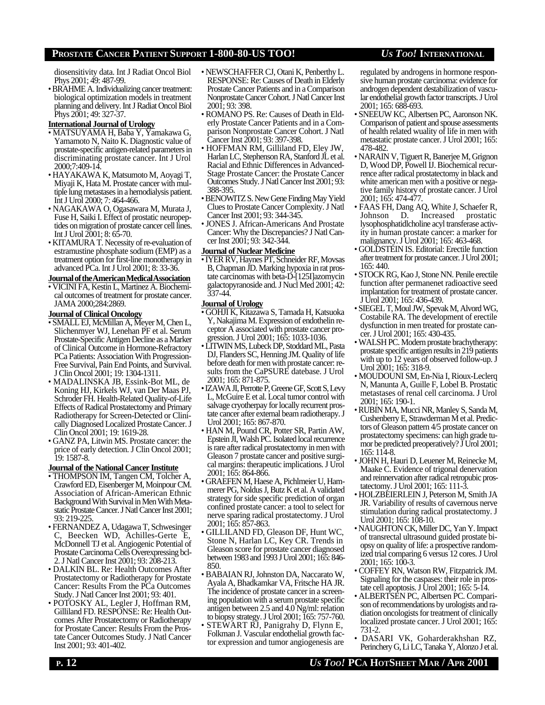diosensitivity data. Int J Radiat Oncol Biol Phys 2001; 49: 487-99.

• BRAHME A. Individualizing cancer treatment: biological optimization models in treatment planning and delivery. Int J Radiat Oncol Biol Phys 2001; 49: 327-37.

### **International Journal of Urology**

- MATSUYAMA H, Baba Y, Yamakawa G, Yamamoto N, Naito K. Diagnostic value of prostate-specific antigen-related parameters in discriminating prostate cancer. Int J Urol 2000;7:409-14.
- HAYAKAWA K, Matsumoto M, Aoyagi T, Miyaji K, Hata M. Prostate cancer with multiple lung metastases in a hemodialysis patient. Int J Urol 2000; 7: 464-466.
- NAGAKAWA O, Ogasawara M, Murata J, Fuse H, Saiki I. Effect of prostatic neuropeptides on migration of prostate cancer cell lines. Int J Urol 2001; 8: 65-70.
- KITAMURA T. Necessity of re-evaluation of estramustine phosphate sodium (EMP) as a treatment option for first-line monotherapy in advanced PCa. Int J Urol 2001; 8: 33-36.

#### **JournaloftheAmericanMedicalAssociation**

• VICINI FA, Kestin L, Martinez A. Biochemical outcomes of treatment for prostate cancer. JAMA 2000;284:2869.

#### **Journal of Clinical Oncology**

- SMALL EJ, McMillan A, Meyer M, Chen L, Slichenmyer WJ, Lenehan PF et al. Serum Prostate-Specific Antigen Decline as a Marker of Clinical Outcome in Hormone-Refractory PCa Patients: Association With Progression-Free Survival, Pain End Points, and Survival. J Clin Oncol 2001; 19: 1304-1311.
- MADALINSKA JB, Essink-Bot ML, de Koning HJ, Kirkels WJ, van Der Maas PJ, Schroder FH. Health-Related Quality-of-Life Effects of Radical Prostatectomy and Primary Radiotherapy for Screen-Detected or Clinically Diagnosed Localized Prostate Cancer. J Clin Oncol 2001; 19: 1619-28.
- GANZ PA, Litwin MS. Prostate cancer: the price of early detection. J Clin Oncol 2001; 19: 1587-8.

#### **Journal of the National Cancer Institute**

- THOMPSON IM, Tangen CM, Tolcher A, Crawford ED, Eisenberger M, Moinpour CM. Association of African-American Ethnic Background With Survival in Men With Metastatic Prostate Cancer. J Natl Cancer Inst 2001; 93: 219-225.
- FERNANDEZ A, Udagawa T, Schwesinger Beecken WD, Achilles-Gerte E, McDonnell TJ et al. Angiogenic Potential of Prostate Carcinoma Cells Overexpressing bcl-2. J Natl Cancer Inst 2001; 93: 208-213.
- DALKIN BL. Re: Health Outcomes After Prostatectomy or Radiotherapy for Prostate Cancer: Results From the PCa Outcomes Study. J Natl Cancer Inst 2001; 93: 401.
- POTOSKY AL, Legler J, Hoffman RM, Gilliland FD. RESPONSE: Re: Health Outcomes After Prostatectomy or Radiotherapy for Prostate Cancer: Results From the Prostate Cancer Outcomes Study. J Natl Cancer Inst 2001; 93: 401-402.
- NEWSCHAFFER CJ, Otani K, Penberthy L. RESPONSE: Re: Causes of Death in Elderly Prostate Cancer Patients and in a Comparison Nonprostate Cancer Cohort. J Natl Cancer Inst 2001; 93: 398.
- ROMANO PS. Re: Causes of Death in Elderly Prostate Cancer Patients and in a Comparison Nonprostate Cancer Cohort. J Natl Cancer Inst 2001; 93: 397-398.
- HOFFMAN RM, Gilliland FD, Eley JW, Harlan LC, Stephenson RA, Stanford JL et al. Racial and Ethnic Differences in Advanced-Stage Prostate Cancer: the Prostate Cancer Outcomes Study. J Natl Cancer Inst 2001; 93: 388-395.
- BENOWITZ S. New Gene Finding May Yield Clues to Prostate Cancer Complexity. J Natl Cancer Inst 2001; 93: 344-345.
- JONES J. African-Americans And Prostate Cancer: Why the Discrepancies? J Natl Cancer Inst 2001; 93: 342-344.

#### **Journal of Nuclear Medicine**

• IYER RV, Haynes PT, Schneider RF, Movsas B, Chapman JD. Marking hypoxia in rat prostate carcinomas with beta-D-[125I]azomycin galactopyranoside and. J Nucl Med 2001; 42: 337-44.

#### **Journal of Urology**

- GOHJI K, Kitazawa S, Tamada H, Katsuoka Y, Nakajima M. Expression of endothelin receptor A associated with prostate cancer progression. J Urol 2001; 165: 1033-1036.
- LITWIN MS, Lubeck DP, Stoddard ML, Pasta DJ, Flanders SC, Henning JM. Quality of life before death for men with prostate cancer: results from the CaPSURE datebase. J Urol 2001; 165: 871-875.
- IZAWA JI, Perrotte P, Greene GF, Scott S, Levy L, McGuire E et al. Local tumor control with salvage cryotherpay for locally recurrent prostate cancer after external beam radiotherapy. J Urol 2001; 165: 867-870.
- HAN M, Pound CR, Potter SR, Partin AW, Epstein JI, Walsh PC. Isolated local recurrence is rare after radical prostatectomy in men with Gleason 7 prostate cancer and positive surgical margins: therapeutic implications. J Urol 2001; 165: 864-866.
- GRAEFEN M, Haese A, Pichlmeier U, Hammerer PG, Noldus J, Butz K et al. A validated strategy for side specific prediction of organ confined prostate cancer: a tool to select for nerve sparing radical prostatectomy. J Urol 2001; 165: 857-863.
- GILLILAND FD, Gleason DF, Hunt WC, Stone N, Harlan LC, Key CR. Trends in Gleason score for prostate cancer diagnosed between 1983 and 1993 J Urol 2001; 165: 846- 850.
- BABAIAN RJ, Johnston DA, Naccarato W, Ayala A, Bhadkamkar VA, Fritsche HA JR. The incidence of prostate cancer in a screening population with a serum prostate specific antigen between 2.5 and 4.0 Ng/ml: relation to biopsy strategy. J Urol 2001; 165: 757-760.
- STEWART RJ, Panigrahy D, Flynn E, Folkman J. Vascular endothelial growth factor expression and tumor angiogenesis are

regulated by androgens in hormone responsive human prostate carcinoma: evidence for androgen dependent destabilization of vascular endothelial growth factor transcripts. J Urol 2001; 165: 688-693.

- SNEEUW KC, Albertsen PC, Aaronson NK. Comparison of patient and spouse assessments of health related wuality of life in men with metastatic prostate cancer. J Urol 2001; 165: 478-482.
- NARAIN V, Tiguert R, Banerjee M, Grignon D, Wood DP, Powell IJ. Biochemical recurrence after radical prostatectomy in black and white american men with a positive or negative family history of prostate cancer. J Urol 2001; 165: 474-477.
- FAAS FH, Dang AQ, White J, Schaefer R, Johnson D. Increased prostatic Johnson D. Increased prostatic lysophosphatidlcholine acyl transferase activity in human prostate cancer: a marker for malignancy. J Urol 2001; 165: 463-468.
- GOLDSTEIN IS. Editorial: Erectile function after treatment for prostate cancer. J Urol 2001;  $165 \cdot 440$
- STOCK RG, Kao J, Stone NN. Penile erectile function after permanenet radioactive seed implantation for treatment of prostate cancer. J Urol 2001; 165: 436-439.
- SIEGEL T, Moul JW, Spevak M, Alvord WG, Costabile RA. The development of erectile dysfunction in men treated for prostate cancer. J Urol 2001; 165: 430-435.
- WALSH PC. Modern prostate brachytherapy: prostate specific antigen results in 219 patients with up to 12 years of observed follow-up. J Urol 2001; 165: 318-9.
- MOUDOUNI SM, En-Nia I, Rioux-Leclerq N, Manunta A, Guille F, Lobel B. Prostatic metastases of renal cell carcinoma. J Urol 2001; 165: 190-1.
- RUBIN MA, Mucci NR, Manley S, Sanda M, Cushenberry E, Strawderman M et al. Predictors of Gleason pattern 4/5 prostate cancer on prostatectomy specimens: can high grade tumor be predicted preoperatively? J Urol 2001; 165: 114-8.
- JOHN H, Hauri D, Leuener M, Reinecke M, Maake C. Evidence of trigonal denervation and reinnervation after radical retropubic prostatectomy. J Urol 2001; 165: 111-3.
- HOLZBEIERLEIN J, Peterson M, Smith JA JR. Variability of results of cavernous nerve stimulation during radical prostatectomy. J Urol 2001; 165: 108-10.
- NAUGHTON CK, Miller DC, Yan Y. Impact of transrectal ultrasound guided prostate biopsy on quality of life: a prospective randomized trial comparing 6 versus 12 cores. J Urol 2001; 165: 100-3.
- COFFEY RN, Watson RW, Fitzpatrick JM. Signaling for the caspases: their role in prostate cell apoptosis. J Urol 2001; 165: 5-14.
- ALBERTSEN PC, Albertsen PC. Comparison of recommendations by urologists and radiation oncologists for treatment of clinically localized prostate cancer. J Urol 2001; 165: 731-2.
- DASARI VK, Goharderakhshan RZ, Perinchery G, Li LC, Tanaka Y, Alonzo J et al.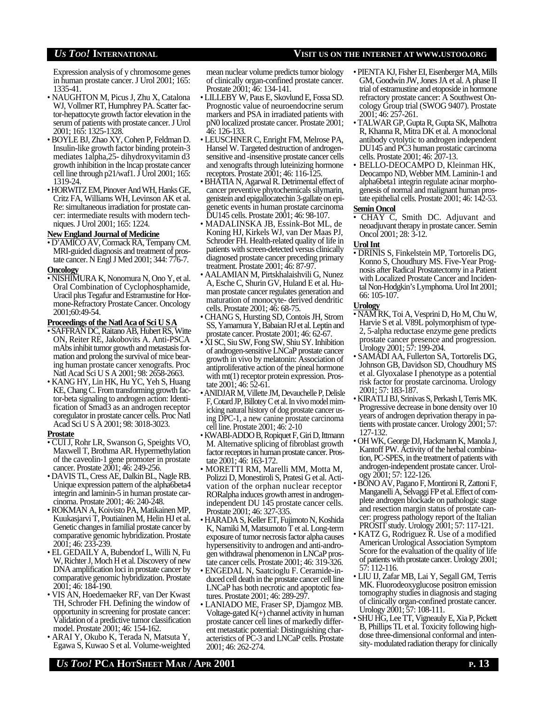Expression analysis of y chromosome genes in human prostate cancer. J Urol 2001; 165: 1335-41.

- NAUGHTON M, Picus J, Zhu X, Catalona WJ, Vollmer RT, Humphrey PA. Scatter factor-hepattocyte growth factor elevation in the serum of patients with prostate cancer. J Urol 2001; 165: 1325-1328.
- BOYLE BJ, Zhao XY, Cohen P, Feldman D. Insulin-like growth factor binding protein-3 mediates 1alpha,25- dihydroxyvitamin d3 growth inhibition in the lncap prostate cancer cell line through  $p21/waf1$ . J Urol 2001; 165: 1319-24.
- HORWITZ EM, Pinover And WH, Hanks GE, Critz FA, Williams WH, Levinson AK et al. Re: simultaneous irradiation for prostate cancer: intermediate results with modern techniques. J Urol 2001; 165: 1224.

#### **New EnglandJournal of Medicine**

• D'AMICO AV, Cormack RA, Tempany CM. MRI-guided diagnosis and treatment of prostate cancer. N Engl J Med 2001; 344: 776-7.

#### **Oncology**

• NISHIMURA K, Nonomura N, Ono Y, et al. Oral Combination of Cyclophosphamide, Uracil plus Tegafur and Estramustine for Hormone-Refractory Prostate Cancer. Oncology 2001;60:49-54.

#### **Proceedings of the NatlAca of Sci U SA**

- SAFFRAN DC, Raitano AB, Hubert RS, Witte ON, Reiter RE, Jakobovits A. Anti-PSCA mAbs inhibit tumor growth and metastasis formation and prolong the survival of mice bearing human prostate cancer xenografts. Proc Natl Acad Sci U S A 2001; 98: 2658-2663.
- KANG HY, Lin HK, Hu YC, Yeh S, Huang KE, Chang C. From transforming growth factor-beta signaling to androgen action: Identification of Smad3 as an androgen receptor coregulator in prostate cancer cells. Proc Natl Acad Sci U S A 2001; 98: 3018-3023.

#### **Prostate**

- CUI J, Rohr LR, Swanson G, Speights VO, Maxwell T, Brothma AR. Hypermethylation of the caveolin-1 gene promoter in prostate cancer. Prostate 2001; 46: 249-256.
- DAVIS TL, Cress AE, Dalkin BL, Nagle RB. Unique expression pattern of the alpha6beta4 integrin and laminin-5 in human prostate carcinoma. Prostate 2001; 46: 240-248.
- ROKMAN A, Koivisto PA, Matikainen MP, Kuukasjarvi T, Poutiainen M, Helin HJ et al. Genetic changes in familial prostate cancer by comparative genomic hybridization. Prostate 2001; 46: 233-239.
- EL GEDAILY A, Bubendorf L, Willi N, Fu W, Richter J, Moch H et al. Discovery of new DNA amplification loci in prostate cancer by comparative genomic hybridization. Prostate 2001; 46: 184-190.
- VIS AN, Hoedemaeker RF, van Der Kwast TH, Schroder FH. Defining the window of opportunity in screening for prostate cancer: Validation of a predictive tumor classification model. Prostate 2001; 46: 154-162.
- ARAI Y, Okubo K, Terada N, Matsuta Y, Egawa S, Kuwao S et al. Volume-weighted

mean nuclear volume predicts tumor biology of clinically organ-confined prostate cancer. Prostate 2001; 46: 134-141.

- LILLEBY W, Paus E, Skovlund E, Fossa SD. Prognostic value of neuroendocrine serum markers and PSA in irradiated patients with pN0 localized prostate cancer. Prostate 2001; 46: 126-133.
- LEUSCHNER C, Enright FM, Melrose PA, Hansel W. Targeted destruction of androgensensitive and -insensitive prostate cancer cells and xenografts through luteinizing hormone receptors. Prostate 2001; 46: 116-125.
- BHATIA N, Agarwal R. Detrimental effect of cancer preventive phytochemicals silymarin, genistein and epigallocatechin 3-gallate on epigenetic events in human prostate carcinoma DU145 cells. Prostate 2001; 46: 98-107.
- MADALINSKA JB, Essink-Bot ML, de Koning HJ, Kirkels WJ, van Der Maas PJ, Schroder FH. Health-related quality of life in patients with screen-detected versus clinically diagnosed prostate cancer preceding primary treatment. Prostate 2001; 46: 87-97.
- AALAMIAN M, Pirtskhalaishvili G, Nunez A, Esche C, Shurin GV, Huland E et al. Human prostate cancer regulates generation and maturation of monocyte- derived dendritic cells. Prostate 2001; 46: 68-75.
- CHANG S, Hursting SD, Contois JH, Strom SS, Yamamura Y, Babaian RJ et al. Leptin and prostate cancer. Prostate 2001; 46: 62-67.
- XI SC, Siu SW, Fong SW, Shiu SY. Inhibition of androgen-sensitive LNCaP prostate cancer growth in vivo by melatonin: Association of antiproliferative action of the pineal hormone with mt(1) receptor protein expression. Prostate 2001; 46: 52-61.
- ANIDJAR M, Villette JM, Devauchelle P, Delisle F, Cotard JP, Billotey C et al. In vivo model mimicking natural history of dog prostate cancer using DPC-1, a new canine prostate carcinoma cell line. Prostate 2001; 46: 2-10
- KWABI-ADDO B, Ropiquet F, Giri D, Ittmann M. Alternative splicing of fibroblast growth factor receptors in human prostate cancer. Prostate 2001; 46: 163-172.
- MORETTI RM, Marelli MM, Motta M, Polizzi D, Monestiroli S, Pratesi G et al. Activation of the orphan nuclear receptor RORalpha induces growth arrest in androgenindependent DU 145 prostate cancer cells. Prostate 2001; 46: 327-335.
- HARADA S, Keller ET, Fujimoto N, Koshida K, Namiki M, Matsumoto T et al. Long-term exposure of tumor necrosis factor alpha causes hypersensitivity to androgen and anti-androgen withdrawal phenomenon in LNCaP prostate cancer cells. Prostate 2001; 46: 319-326.
- ENGEDAL N, Saatcioglu F. Ceramide-induced cell death in the prostate cancer cell line LNCaP has both necrotic and apoptotic features. Prostate 2001; 46: 289-297.
- LANIADO ME, Fraser SP, Djamgoz MB. Voltage-gated  $K(+)$  channel activity in human prostate cancer cell lines of markedly different metastatic potential: Distinguishing characteristics of PC-3 and LNCaP cells. Prostate 2001; 46: 262-274.
- PIENTA KJ, Fisher EI, Eisenberger MA, Mills GM, Goodwin JW, Jones JA et al. A phase II trial of estramustine and etoposide in hormone refractory prostate cancer: A Southwest Oncology Group trial (SWOG 9407). Prostate 2001; 46: 257-261.
- TALWAR GP, Gupta R, Gupta SK, Malhotra R, Khanna R, Mitra DK et al. A monoclonal antibody cytolytic to androgen independent DU145 and PC3 human prostatic carcinoma cells. Prostate 2001; 46: 207-13.
- BELLO-DEOCAMPO D, Kleinman HK, Deocampo ND, Webber MM. Laminin-1 and alpha6beta1 integrin regulate acinar morphogenesis of normal and malignant human prostate epithelial cells. Prostate 2001; 46: 142-53. **Semin Oncol**

• CHAY C, Smith DC. Adjuvant and neoadjuvant therapy in prostate cancer. Semin Oncol 2001; 28: 3-12.

### Urol Int

• DRINIS S, Finkelstein MP, Tortorelis DG, Konno S, Choudhury MS. Five-Year Prognosis after Radical Prostatectomy in a Patient with Localized Prostate Cancer and Incidental Non-Hodgkin's Lymphoma. Urol Int 2001; 66: 105-107.

#### **Urology**

- NAM RK, Toi A, Vesprini D, Ho M, Chu W, Harvie S et al. V89L polymorphism of type-2, 5-alpha reductase enzyme gene predicts prostate cancer presence and progression. Urology 2001; 57: 199-204.
- SAMADI AA, Fullerton SA, Tortorelis DG, Johnson GB, Davidson SD, Choudhury MS et al. Glyoxalase I phenotype as a potential risk factor for prostate carcinoma. Urology 2001; 57: 183-187.
- KIRATLI BJ, Srinivas S, Perkash I, Terris MK. Progressive decrease in bone density over 10 years of androgen deprivation therapy in patients with prostate cancer. Urology 2001; 57: 127-132.
- OH WK, George DJ, Hackmann K, Manola J, Kantoff PW. Activity of the herbal combination, PC-SPES, in the treatment of patients with androgen-independent prostate cancer. Urology 2001; 57: 122-126.
- BONO AV, Pagano F, Montironi R, Zattoni F, Manganelli A, Selvaggi FP et al. Effect of complete androgen blockade on pathologic stage and resection margin status of prostate cancer: progress pathology report of the Italian PROSIT study. Urology 2001; 57: 117-121.
- KATZ G, Rodriguez R. Use of a modified American Urological Association Symptom Score for the evaluation of the quality of life of patients with prostate cancer. Urology 2001; 57: 112-116.
- LIU IJ, Zafar MB, Lai Y, Segall GM, Terris MK. Fluorodeoxyglucose positron emission tomography studies in diagnosis and staging of clinically organ-confined prostate cancer. Urology 2001; 57: 108-111.
- SHU HG, Lee TT, Vigneauly E, Xia P, Pickett B, Phillips TL et al. Toxicity following highdose three-dimensional conformal and intensity- modulated radiation therapy for clinically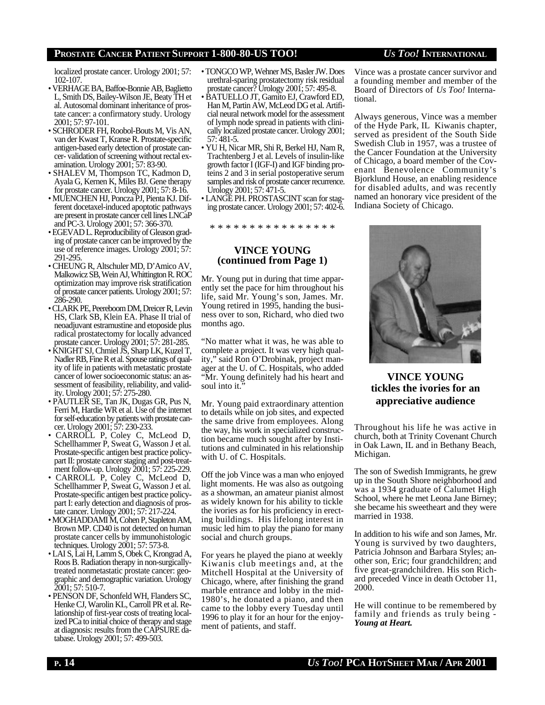localized prostate cancer. Urology 2001; 57: 102-107.

- VERHAGE BA, Baffoe-Bonnie AB, Baglietto L, Smith DS, Bailey-Wilson JE, Beaty TH et al. Autosomal dominant inheritance of prostate cancer: a confirmatory study. Urology 2001; 57: 97-101.
- SCHRODER FH, Roobol-Bouts M, Vis AN, van der Kwast T, Kranse R. Prostate-specific antigen-based early detection of prostate cancer- validation of screening without rectal examination. Urology 2001; 57: 83-90.
- SHALEV M, Thompson TC, Kadmon D, Ayala G, Kernen K, Miles BJ. Gene therapy for prostate cancer. Urology 2001; 57: 8-16.
- MUENCHEN HJ, Poncza PJ, Pienta KJ. Different docetaxel-induced apoptotic pathways are present in prostate cancer cell lines LNCaP and PC-3. Urology 2001; 57: 366-370.
- EGEVAD L. Reproducibility of Gleason grading of prostate cancer can be improved by the use of reference images. Urology 2001; 57: 291-295.
- CHEUNG R, Altschuler MD, D'Amico AV, Malkowicz SB, Wein AJ, Whittington R. ROC optimization may improve risk stratification of prostate cancer patients. Urology 2001; 57: 286-290.
- CLARK PE, Peereboom DM, Dreicer R, Levin HS, Clark SB, Klein EA. Phase II trial of neoadjuvant estramustine and etoposide plus radical prostatectomy for locally advanced prostate cancer. Urology 2001; 57: 281-285.
- KNIGHT SJ, Chmiel JS, Sharp LK, Kuzel T, Nadler RB, Fine R et al. Spouse ratings of quality of life in patients with metastatic prostate cancer of lower socioeconomic status: an assessment of feasibility, reliability, and validity. Urology 2001; 57: 275-280.
- PAUTLER SE, Tan JK, Dugas GR, Pus N, Ferri M, Hardie WR et al. Use of the internet for self-education by patients with prostate cancer. Urology 2001; 57: 230-233.
- CARROLL P, Coley C, McLeod D, Schellhammer P, Sweat G, Wasson J et al. Prostate-specific antigen best practice policypart II: prostate cancer staging and post-treatment follow-up. Urology 2001; 57: 225-229.
- CARROLL P, Coley C, McLeod D, Schellhammer P, Sweat G, Wasson J et al. Prostate-specific antigen best practice policypart I: early detection and diagnosis of prostate cancer. Urology 2001; 57: 217-224.
- MOGHADDAMI M, Cohen P, Stapleton AM, Brown MP. CD40 is not detected on human prostate cancer cells by immunohistologic techniques. Urology 2001; 57: 573-8.
- LAI S, Lai H, Lamm S, Obek C, Krongrad A, Roos B. Radiation therapy in non-surgicallytreated nonmetastatic prostate cancer: geographic and demographic variation. Urology 2001; 57: 510-7.
- PENSON DF, Schonfeld WH, Flanders SC, Henke CJ, Warolin KL, Carroll PR et al. Relationship of first-year costs of treating localized PCa to initial choice of therapy and stage at diagnosis: results from the CAPSURE database. Urology 2001; 57: 499-503.
- TONGCO WP, Wehner MS, Basler JW. Does urethral-sparing prostatectomy risk residual prostate cancer? Urology 2001; 57: 495-8.
- BATUELLO JT, Gamito EJ, Crawford ED, Han M, Partin AW, McLeod DG et al. Artificial neural network model for the assessment of lymph node spread in patients with clinically localized prostate cancer. Urology 2001; 57: 481-5.
- YU H, Nicar MR, Shi R, Berkel HJ, Nam R, Trachtenberg J et al. Levels of insulin-like growth factor I (IGF-I) and IGF binding proteins 2 and 3 in serial postoperative serum samples and risk of prostate cancer recurrence. Urology 2001; 57: 471-5.
- LANGE PH. PROSTASCINT scan for staging prostate cancer. Urology 2001; 57: 402-6.

\* \* \* \* \* \* \* \* \* \* \* \* \* \* \*

### **VINCE YOUNG (continued from Page 1)**

Mr. Young put in during that time apparently set the pace for him throughout his life, said Mr. Young's son, James. Mr. Young retired in 1995, handing the business over to son, Richard, who died two months ago.

"No matter what it was, he was able to complete a project. It was very high quality," said Ron O'Drobinak, project manager at the U. of C. Hospitals, who added "Mr. Young definitely had his heart and soul into it."

Mr. Young paid extraordinary attention to details while on job sites, and expected the same drive from employees. Along the way, his work in specialized construction became much sought after by Institutions and culminated in his relationship with U. of C. Hospitals.

Off the job Vince was a man who enjoyed light moments. He was also as outgoing as a showman, an amateur pianist almost as widely known for his ability to tickle the ivories as for his proficiency in erecting buildings. His lifelong interest in music led him to play the piano for many social and church groups.

For years he played the piano at weekly Kiwanis club meetings and, at the Mitchell Hospital at the University of Chicago, where, after finishing the grand marble entrance and lobby in the mid-1980's, he donated a piano, and then came to the lobby every Tuesday until 1996 to play it for an hour for the enjoyment of patients, and staff.

Vince was a prostate cancer survivor and a founding member and member of the Board of Directors of *Us Too!* International.

Always generous, Vince was a member of the Hyde Park, IL Kiwanis chapter, served as president of the South Side Swedish Club in 1957, was a trustee of the Cancer Foundation at the University of Chicago, a board member of the Covenant Benevolence Community's Bjorklund House, an enabling residence for disabled adults, and was recently named an honorary vice president of the Indiana Society of Chicago.



# **VINCE YOUNG tickles the ivories for an appreciative audience**

Throughout his life he was active in church, both at Trinity Covenant Church in Oak Lawn, IL and in Bethany Beach, Michigan.

The son of Swedish Immigrants, he grew up in the South Shore neighborhood and was a 1934 graduate of Calumet High School, where he met Leona Jane Birney; she became his sweetheart and they were married in 1938.

In addition to his wife and son James, Mr. Young is survived by two daughters, Patricia Johnson and Barbara Styles; another son, Eric; four grandchildren; and five great-grandchildren. His son Richard preceded Vince in death October 11, 2000.

He will continue to be remembered by family and friends as truly being - *Young at Heart.*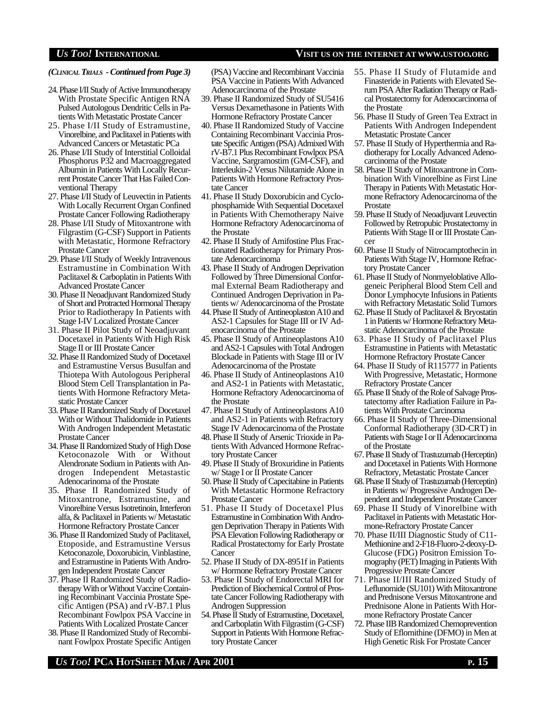*(CLINICAL TRIALS - Continued from Page 3)*

- 24. Phase I/II Study of Active Immunotherapy With Prostate Specific Antigen RNA Pulsed Autologous Dendritic Cells in Patients With Metastatic Prostate Cancer
- 25. Phase I/II Study of Estramustine, Vinorelbine, and Paclitaxel in Patients with Advanced Cancers or Metastatic PCa
- 26. Phase I/II Study of Interstitial Colloidal Phosphorus P32 and Macroaggregated Albumin in Patients With Locally Recurrent Prostate Cancer That Has Failed Conventional Therapy
- 27. Phase I/II Study of Leuvectin in Patients With Locally Recurrent Organ Confined Prostate Cancer Following Radiotherapy
- 28. Phase I/II Study of Mitoxantrone with Filgrastim (G-CSF) Support in Patients with Metastatic, Hormone Refractory Prostate Cancer
- 29. Phase I/II Study of Weekly Intravenous Estramustine in Combination With Paclitaxel & Carboplatin in Patients With Advanced Prostate Cancer
- 30. Phase II Neoadjuvant Randomized Study of Short and Protracted Hormonal Therapy Prior to Radiotherapy In Patients with Stage I-IV Localized Prostate Cancer
- 31. Phase II Pilot Study of Neoadjuvant Docetaxel in Patients With High Risk Stage II or III Prostate Cancer
- 32. Phase II Randomized Study of Docetaxel and Estramustine Versus Busulfan and Thiotepa With Autologous Peripheral Blood Stem Cell Transplantation in Patients With Hormone Refractory Metastatic Prostate Cancer
- 33. Phase II Randomized Study of Docetaxel With or Without Thalidomide in Patients With Androgen Independent Metastatic Prostate Cancer
- 34. Phase II Randomized Study of High Dose Ketoconazole With or Without Alendronate Sodium in Patients with Androgen Independent Metastastic Adenocarinoma of the Prostate
- 35. Phase II Randomized Study of Mitoxantrone, Estramustine, and Vinorelbine Versus Isotretinoin, Interferon alfa, & Paclitaxel in Patients w/ Metastatic Hormone Refractory Prostate Cancer
- 36. Phase II Randomized Study of Paclitaxel, Etoposide, and Estramustine Versus Ketoconazole, Doxorubicin, Vinblastine, and Estramustine in Patients With Androgen Independent Prostate Cancer
- 37. Phase II Randomized Study of Radiotherapy With or Without Vaccine Containing Recombinant Vaccinia Prostate Specific Antigen (PSA) and rV-B7.1 Plus Recombinant Fowlpox PSA Vaccine in Patients With Localized Prostate Cancer
- 38. Phase II Randomized Study of Recombinant Fowlpox Prostate Specific Antigen

(PSA) Vaccine and Recombinant Vaccinia PSA Vaccine in Patients With Advanced Adenocarcinoma of the Prostate

- 39. Phase II Randomized Study of SU5416 Versus Dexamethasone in Patients With Hormone Refractory Prostate Cancer
- 40. Phase II Randomized Study of Vaccine Containing Recombinant Vaccinia Prostate Specific Antigen (PSA) Admixed With rV-B7.1 Plus Recombinant Fowlpox PSA Vaccine, Sargramostim (GM-CSF), and Interleukin-2 Versus Nilutamide Alone in Patients With Hormone Refractory Prostate Cancer
- 41. Phase II Study Doxorubicin and Cyclophosphamide With Sequential Docetaxel in Patients With Chemotherapy Naive Hormone Refractory Adenocarcinoma of the Prostate
- 42. Phase II Study of Amifostine Plus Fractionated Radiotherapy for Primary Prostate Adenocarcinoma
- 43. Phase II Study of Androgen Deprivation Followed by Three Dimensional Conformal External Beam Radiotherapy and Continued Androgen Deprivation in Patients w/ Adenocarcinoma of the Prostate
- 44. Phase II Study of Antineoplaston A10 and AS2-1 Capsules for Stage III or IV Adenocarcinoma of the Prostate
- 45. Phase II Study of Antineoplastons A10 and AS2-1 Capsules with Total Androgen Blockade in Patients with Stage III or IV Adenocarcinoma of the Prostate
- 46. Phase II Study of Antineoplastons A10 and AS2-1 in Patients with Metastatic, Hormone Refractory Adenocarcinoma of the Prostate
- 47. Phase II Study of Antineoplastons A10 and AS2-1 in Patients with Refractory Stage IV Adenocarcinoma of the Prostate
- 48. Phase II Study of Arsenic Trioxide in Patients With Advanced Hormone Refractory Prostate Cancer
- 49. Phase II Study of Broxuridine in Patients w/ Stage I or II Prostate Cancer
- 50. Phase II Study of Capecitabine in Patients With Metastatic Hormone Refractory Prostate Cancer
- 51. Phase II Study of Docetaxel Plus Estramustine in Combination With Androgen Deprivation Therapy in Patients With PSA Elevation Following Radiotherapy or Radical Prostatectomy for Early Prostate **Cancer**
- 52. Phase II Study of DX-8951f in Patients w/ Hormone Refractory Prostate Cancer
- 53. Phase II Study of Endorectal MRI for Prediction of Biochemical Control of Prostate Cancer Following Radiotherapy with Androgen Suppression
- 54. Phase II Study of Estramustine, Docetaxel, and Carboplatin With Filgrastim (G-CSF) Support in Patients With Hormone Refractory Prostate Cancer
- 56. Phase II Study of Green Tea Extract in Patients With Androgen Independent Metastatic Prostate Cancer
- 57. Phase II Study of Hyperthermia and Radiotherapy for Locally Advanced Adenocarcinoma of the Prostate
- 58. Phase II Study of Mitoxantrone in Combination With Vinorelbine as First Line Therapy in Patients With Metastatic Hormone Refractory Adenocarcinoma of the Prostate
- 59. Phase II Study of Neoadjuvant Leuvectin Followed by Retropubic Prostatectomy in Patients With Stage II or III Prostate Cancer
- 60. Phase II Study of Nitrocamptothecin in Patients With Stage IV, Hormone Refractory Prostate Cancer
- 61. Phase II Study of Nonmyeloblative Allogeneic Peripheral Blood Stem Cell and Donor Lymphocyte Infusions in Patients with Refractory Metastatic Solid Tumors
- 62. Phase II Study of Paclitaxel & Bryostatin 1 in Patients w/ Hormone Refractory Metastatic Adenocarcinoma of the Prostate
- 63. Phase II Study of Paclitaxel Plus Estramustine in Patients with Metastatic Hormone Refractory Prostate Cancer
- 64. Phase II Study of R115777 in Patients With Progressive, Metastatic, Hormone Refractory Prostate Cancer
- 65. Phase II Study of the Role of Salvage Prostatectomy after Radiation Failure in Patients With Prostate Carcinoma
- 66. Phase II Study of Three-Dimensional Conformal Radiotherapy (3D-CRT) in Patients with Stage I or II Adenocarcinoma of the Prostate
- 67. Phase II Study of Trastuzumab (Herceptin) and Docetaxel in Patients With Hormone Refractory, Metastatic Prostate Cancer
- 68. Phase II Study of Trastuzumab (Herceptin) in Patients w/ Progressive Androgen Dependent and Independent Prostate Cancer
- 69. Phase II Study of Vinorelbine with Paclitaxel in Patients with Metastatic Hormone-Refractory Prostate Cancer
- 70. Phase II/III Diagnostic Study of C11- Methionine and 2-F18-Fluoro-2-deoxy-D-Glucose (FDG) Positron Emission Tomography (PET) Imaging in Patients With Progressive Prostate Cancer
- 71. Phase II/III Randomized Study of Leflunomide (SU101) With Mitoxantrone and Prednisone Versus Mitoxantrone and Prednisone Alone in Patients With Hormone Refractory Prostate Cancer
- 72. Phase IIB Randomized Chemoprevention Study of Eflornithine (DFMO) in Men at High Genetic Risk For Prostate Cancer